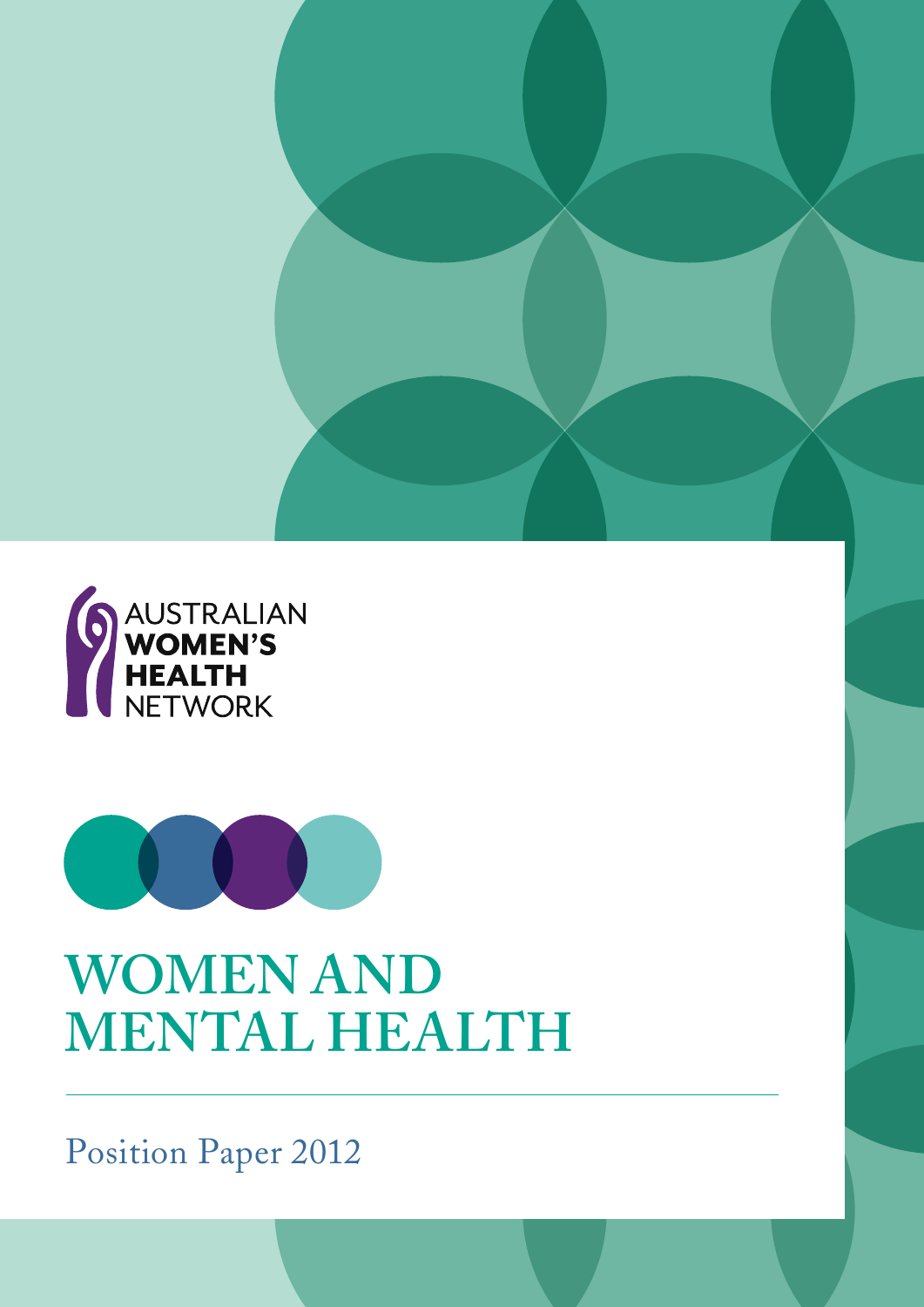



## **WOMEN AND MENTAL HEALTH**

Position Paper 2012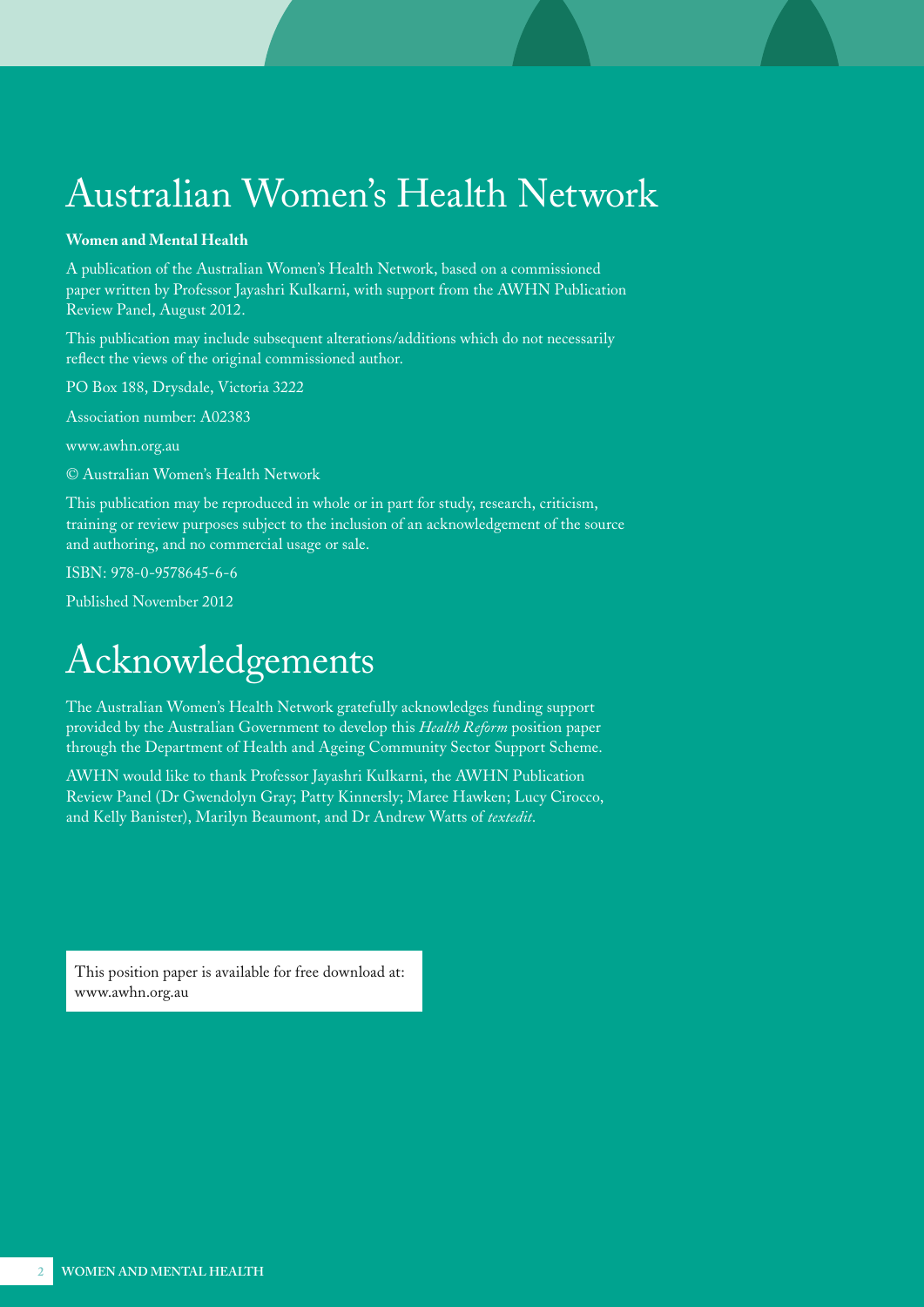## Australian Women's Health Network

#### **Women and Mental Health**

A publication of the Australian Women's Health Network, based on a commissioned paper written by Professor Jayashri Kulkarni, with support from the AWHN Publication Review Panel, August 2012.

This publication may include subsequent alterations/additions which do not necessarily reflect the views of the original commissioned author.

PO Box 188, Drysdale, Victoria 3222

Association number: A02383

[www.awhn.org.au](http://www.awhn.org.au)

© Australian Women's Health Network

This publication may be reproduced in whole or in part for study, research, criticism, training or review purposes subject to the inclusion of an acknowledgement of the source and authoring, and no commercial usage or sale.

ISBN: 978-0-9578645-6-6

Published November 2012

## Acknowledgements

The Australian Women's Health Network gratefully acknowledges funding support provided by the Australian Government to develop this *Health Reform* position paper through the Department of Health and Ageing Community Sector Support Scheme.

AWHN would like to thank Professor Jayashri Kulkarni, the AWHN Publication Review Panel (Dr Gwendolyn Gray; Patty Kinnersly; Maree Hawken; Lucy Cirocco, and Kelly Banister), Marilyn Beaumont, and Dr Andrew Watts of *textedit*.

This position paper is available for free download at: [www.awhn.org.au](http://www.awhn.org.au)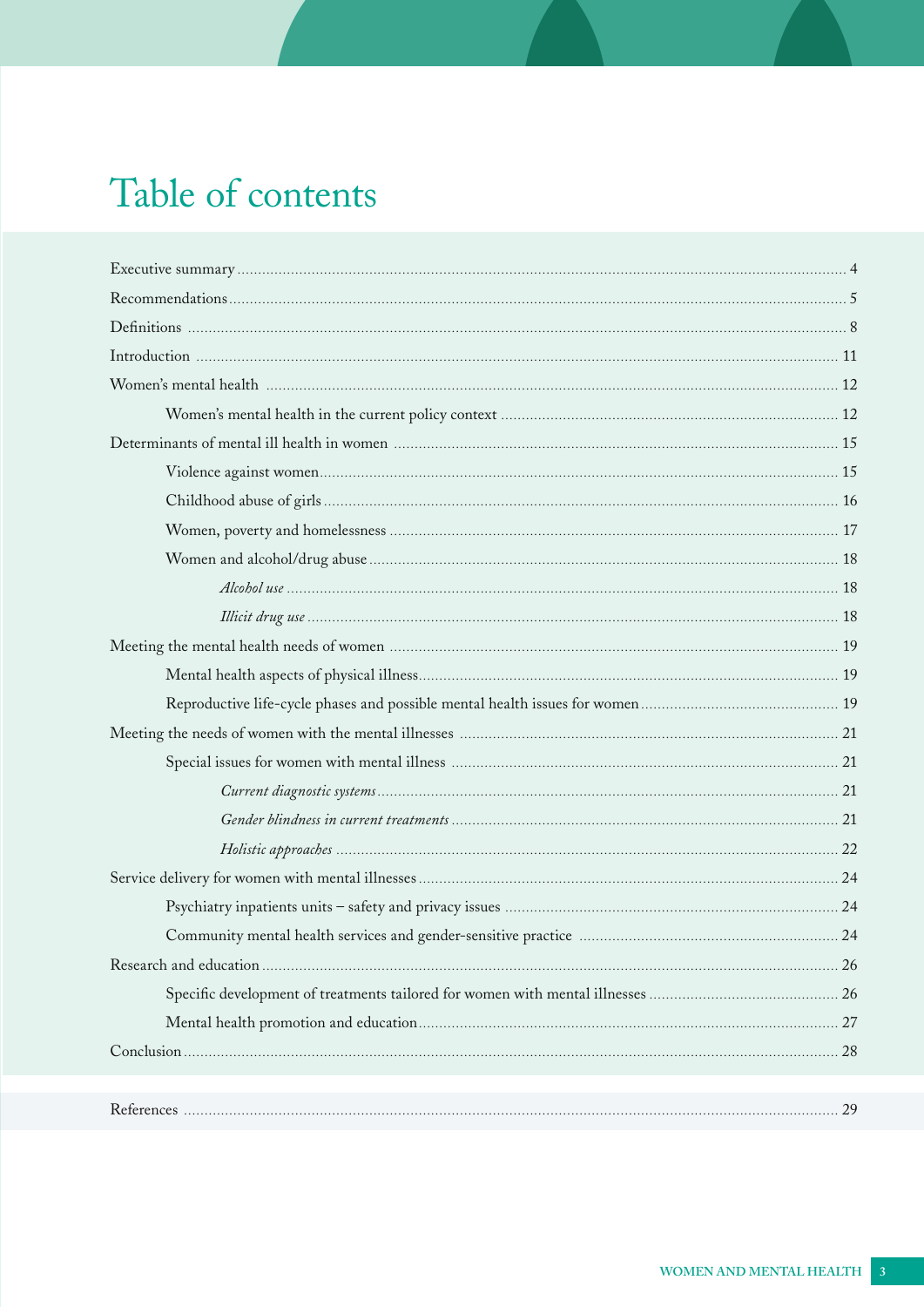## Table of contents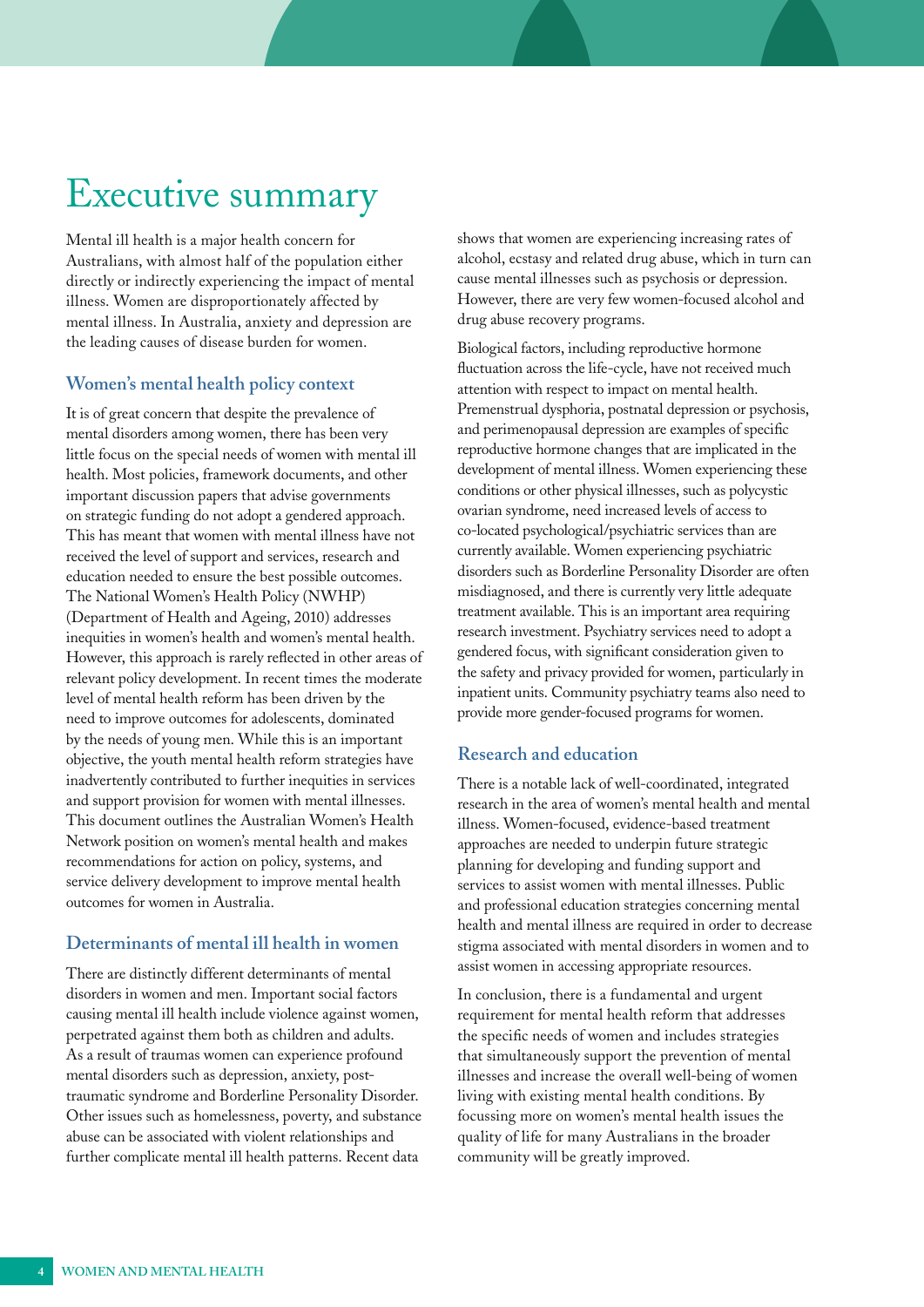## <span id="page-3-0"></span>Executive summary

Mental ill health is a major health concern for Australians, with almost half of the population either directly or indirectly experiencing the impact of mental illness. Women are disproportionately affected by mental illness. In Australia, anxiety and depression are the leading causes of disease burden for women.

#### **Women's mental health policy context**

It is of great concern that despite the prevalence of mental disorders among women, there has been very little focus on the special needs of women with mental ill health. Most policies, framework documents, and other important discussion papers that advise governments on strategic funding do not adopt a gendered approach. This has meant that women with mental illness have not received the level of support and services, research and education needed to ensure the best possible outcomes. The National Women's Health Policy (NWHP) (Department of Health and Ageing, 2010) addresses inequities in women's health and women's mental health. However, this approach is rarely reflected in other areas of relevant policy development. In recent times the moderate level of mental health reform has been driven by the need to improve outcomes for adolescents, dominated by the needs of young men. While this is an important objective, the youth mental health reform strategies have inadvertently contributed to further inequities in services and support provision for women with mental illnesses. This document outlines the Australian Women's Health Network position on women's mental health and makes recommendations for action on policy, systems, and service delivery development to improve mental health outcomes for women in Australia.

#### **Determinants of mental ill health in women**

There are distinctly different determinants of mental disorders in women and men. Important social factors causing mental ill health include violence against women, perpetrated against them both as children and adults. As a result of traumas women can experience profound mental disorders such as depression, anxiety, posttraumatic syndrome and Borderline Personality Disorder. Other issues such as homelessness, poverty, and substance abuse can be associated with violent relationships and further complicate mental ill health patterns. Recent data

shows that women are experiencing increasing rates of alcohol, ecstasy and related drug abuse, which in turn can cause mental illnesses such as psychosis or depression. However, there are very few women-focused alcohol and drug abuse recovery programs.

Biological factors, including reproductive hormone fluctuation across the life-cycle, have not received much attention with respect to impact on mental health. Premenstrual dysphoria, postnatal depression or psychosis, and perimenopausal depression are examples of specific reproductive hormone changes that are implicated in the development of mental illness. Women experiencing these conditions or other physical illnesses, such as polycystic ovarian syndrome, need increased levels of access to co-located psychological/psychiatric services than are currently available. Women experiencing psychiatric disorders such as Borderline Personality Disorder are often misdiagnosed, and there is currently very little adequate treatment available. This is an important area requiring research investment. Psychiatry services need to adopt a gendered focus, with significant consideration given to the safety and privacy provided for women, particularly in inpatient units. Community psychiatry teams also need to provide more gender-focused programs for women.

#### **Research and education**

There is a notable lack of well-coordinated, integrated research in the area of women's mental health and mental illness. Women-focused, evidence-based treatment approaches are needed to underpin future strategic planning for developing and funding support and services to assist women with mental illnesses. Public and professional education strategies concerning mental health and mental illness are required in order to decrease stigma associated with mental disorders in women and to assist women in accessing appropriate resources.

In conclusion, there is a fundamental and urgent requirement for mental health reform that addresses the specific needs of women and includes strategies that simultaneously support the prevention of mental illnesses and increase the overall well-being of women living with existing mental health conditions. By focussing more on women's mental health issues the quality of life for many Australians in the broader community will be greatly improved.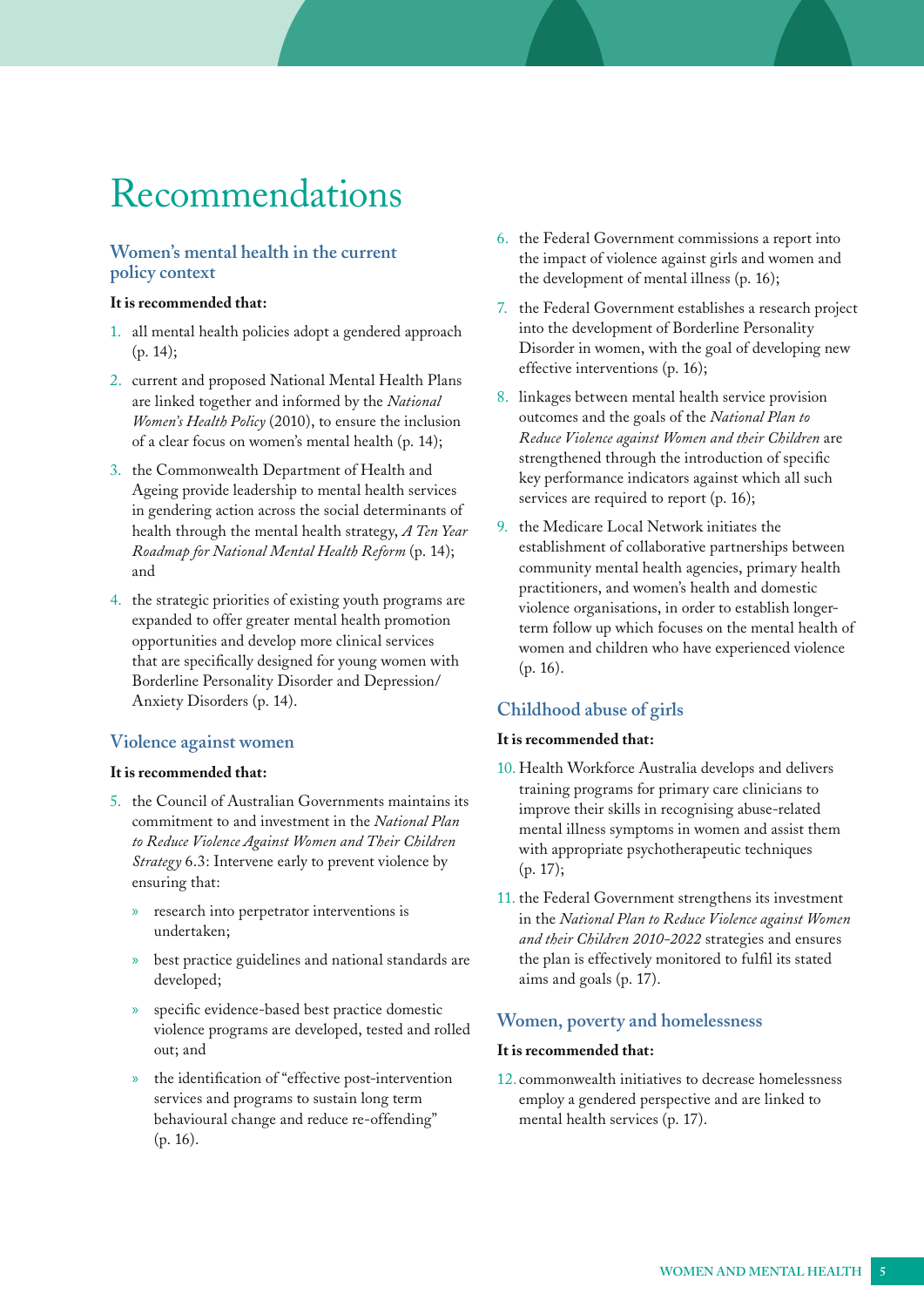## <span id="page-4-0"></span>Recommendations

#### **Women's mental health in the current policy context**

#### **It is recommended that:**

- 1. all mental health policies adopt a gendered approach [\(p. 14](#page-13-0));
- 2. current and proposed National Mental Health Plans are linked together and informed by the *National Women's Health Policy* (2010), to ensure the inclusion of a clear focus on women's mental health [\(p. 14](#page-13-0));
- 3. the Commonwealth Department of Health and Ageing provide leadership to mental health services in gendering action across the social determinants of health through the mental health strategy, *A Ten Year Roadmap for National Mental Health Reform* [\(p. 14\)](#page-13-0); and
- 4. the strategic priorities of existing youth programs are expanded to offer greater mental health promotion opportunities and develop more clinical services that are specifically designed for young women with Borderline Personality Disorder and Depression/ Anxiety Disorders ([p. 14\)](#page-13-0).

#### **Violence against women**

#### **It is recommended that:**

- 5. the Council of Australian Governments maintains its commitment to and investment in the *National Plan to Reduce Violence Against Women and Their Children Strategy* 6.3: Intervene early to prevent violence by ensuring that:
	- » research into perpetrator interventions is undertaken;
	- » best practice guidelines and national standards are developed;
	- specific evidence-based best practice domestic violence programs are developed, tested and rolled out; and
	- » the identification of "effective post-intervention services and programs to sustain long term behavioural change and reduce re-offending" (p. [16](#page-15-0)).
- 6. the Federal Government commissions a report into the impact of violence against girls and women and the development of mental illness ([p. 16](#page-15-0));
- 7. the Federal Government establishes a research project into the development of Borderline Personality Disorder in women, with the goal of developing new effective interventions [\(p. 16\)](#page-15-0);
- 8. linkages between mental health service provision outcomes and the goals of the *National Plan to Reduce Violence against Women and their Children* are strengthened through the introduction of specific key performance indicators against which all such services are required to report ([p. 16\)](#page-15-0);
- 9. the Medicare Local Network initiates the establishment of collaborative partnerships between community mental health agencies, primary health practitioners, and women's health and domestic violence organisations, in order to establish longerterm follow up which focuses on the mental health of women and children who have experienced violence ([p. 16\)](#page-15-0).

#### **Childhood abuse of girls**

#### **It is recommended that:**

- 10. Health Workforce Australia develops and delivers training programs for primary care clinicians to improve their skills in recognising abuse-related mental illness symptoms in women and assist them with appropriate psychotherapeutic techniques (p. [17\)](#page-16-0);
- 11. the Federal Government strengthens its investment in the *National Plan to Reduce Violence against Women and their Children 2010-2022* strategies and ensures the plan is effectively monitored to fulfil its stated aims and goals [\(p. 17\)](#page-16-0).

#### **Women, poverty and homelessness**

#### **It is recommended that:**

12. commonwealth initiatives to decrease homelessness employ a gendered perspective and are linked to mental health services [\(p. 17\)](#page-16-0).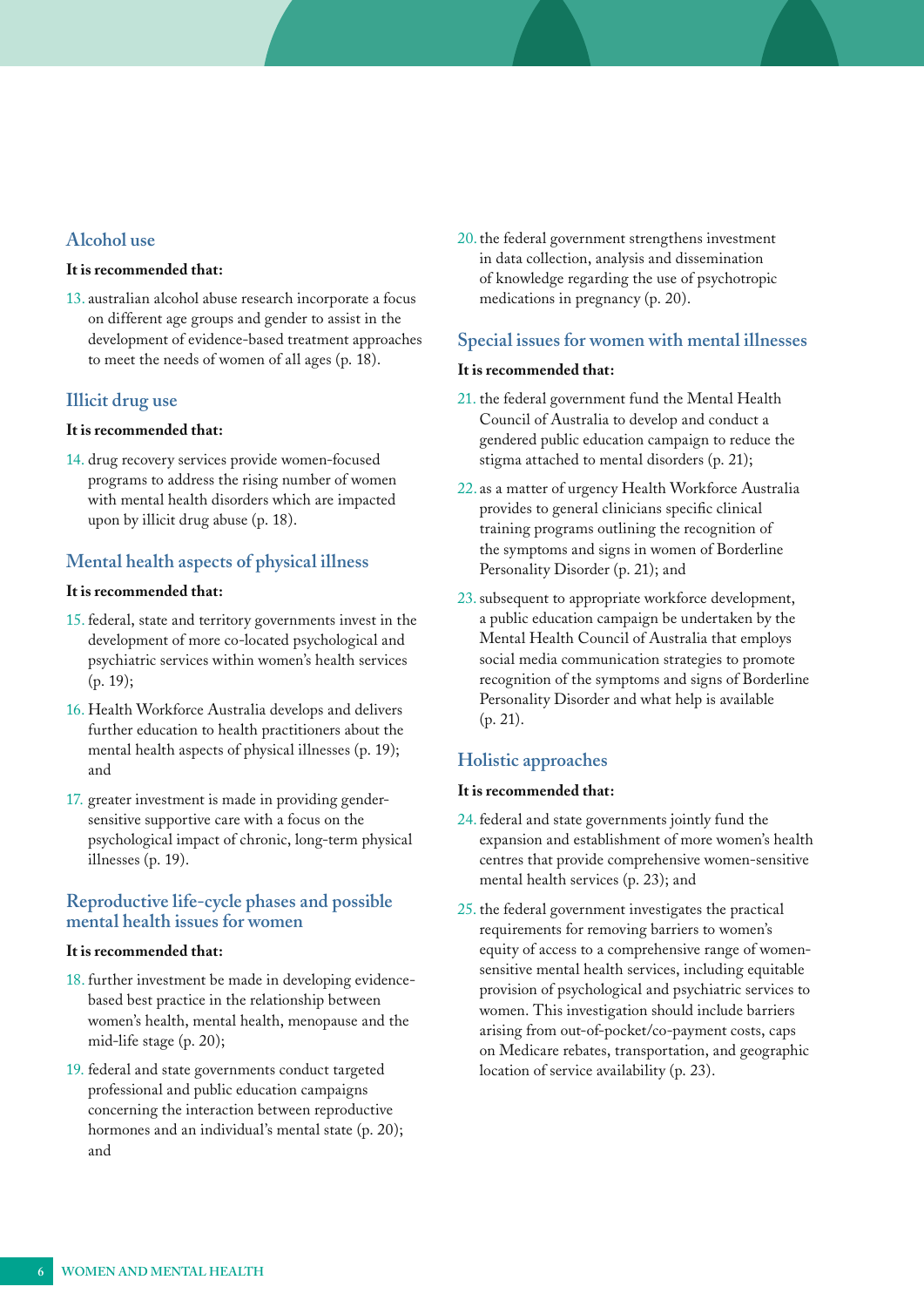#### **Alcohol use**

#### **It is recommended that:**

13. australian alcohol abuse research incorporate a focus on different age groups and gender to assist in the development of evidence-based treatment approaches to meet the needs of women of all ages [\(p. 18\)](#page-17-0).

#### **Illicit drug use**

#### **It is recommended that:**

14. drug recovery services provide women-focused programs to address the rising number of women with mental health disorders which are impacted upon by illicit drug abuse [\(p. 18\)](#page-17-0).

#### **Mental health aspects of physical illness**

#### **It is recommended that:**

- 15. federal, state and territory governments invest in the development of more co-located psychological and psychiatric services within women's health services ([p. 19\)](#page-18-0);
- 16. Health Workforce Australia develops and delivers further education to health practitioners about the mental health aspects of physical illnesses ([p. 19](#page-18-0)); and
- 17. greater investment is made in providing gendersensitive supportive care with a focus on the psychological impact of chronic, long-term physical illnesses [\(p. 19\)](#page-18-0).

#### **Reproductive life-cycle phases and possible mental health issues for women**

#### **It is recommended that:**

- 18. further investment be made in developing evidencebased best practice in the relationship between women's health, mental health, menopause and the mid-life stage [\(p. 20\)](#page-19-0);
- 19. federal and state governments conduct targeted professional and public education campaigns concerning the interaction between reproductive hormones and an individual's mental state [\(p. 20\)](#page-19-0); and

20.the federal government strengthens investment in data collection, analysis and dissemination of knowledge regarding the use of psychotropic medications in pregnancy ([p. 20](#page-19-0)).

#### **Special issues for women with mental illnesses**

#### **It is recommended that:**

- 21. the federal government fund the Mental Health Council of Australia to develop and conduct a gendered public education campaign to reduce the stigma attached to mental disorders [\(p. 21](#page-20-0));
- 22. as a matter of urgency Health Workforce Australia provides to general clinicians specific clinical training programs outlining the recognition of the symptoms and signs in women of Borderline Personality Disorder ([p. 21](#page-20-0)); and
- 23.subsequent to appropriate workforce development, a public education campaign be undertaken by the Mental Health Council of Australia that employs social media communication strategies to promote recognition of the symptoms and signs of Borderline Personality Disorder and what help is available (p. [21\)](#page-20-0).

#### **Holistic approaches**

#### **It is recommended that:**

- 24.federal and state governments jointly fund the expansion and establishment of more women's health centres that provide comprehensive women-sensitive mental health services ([p. 23\)](#page-22-0); and
- 25. the federal government investigates the practical requirements for removing barriers to women's equity of access to a comprehensive range of womensensitive mental health services, including equitable provision of psychological and psychiatric services to women. This investigation should include barriers arising from out-of-pocket/co-payment costs, caps on Medicare rebates, transportation, and geographic location of service availability ([p. 23](#page-22-0)).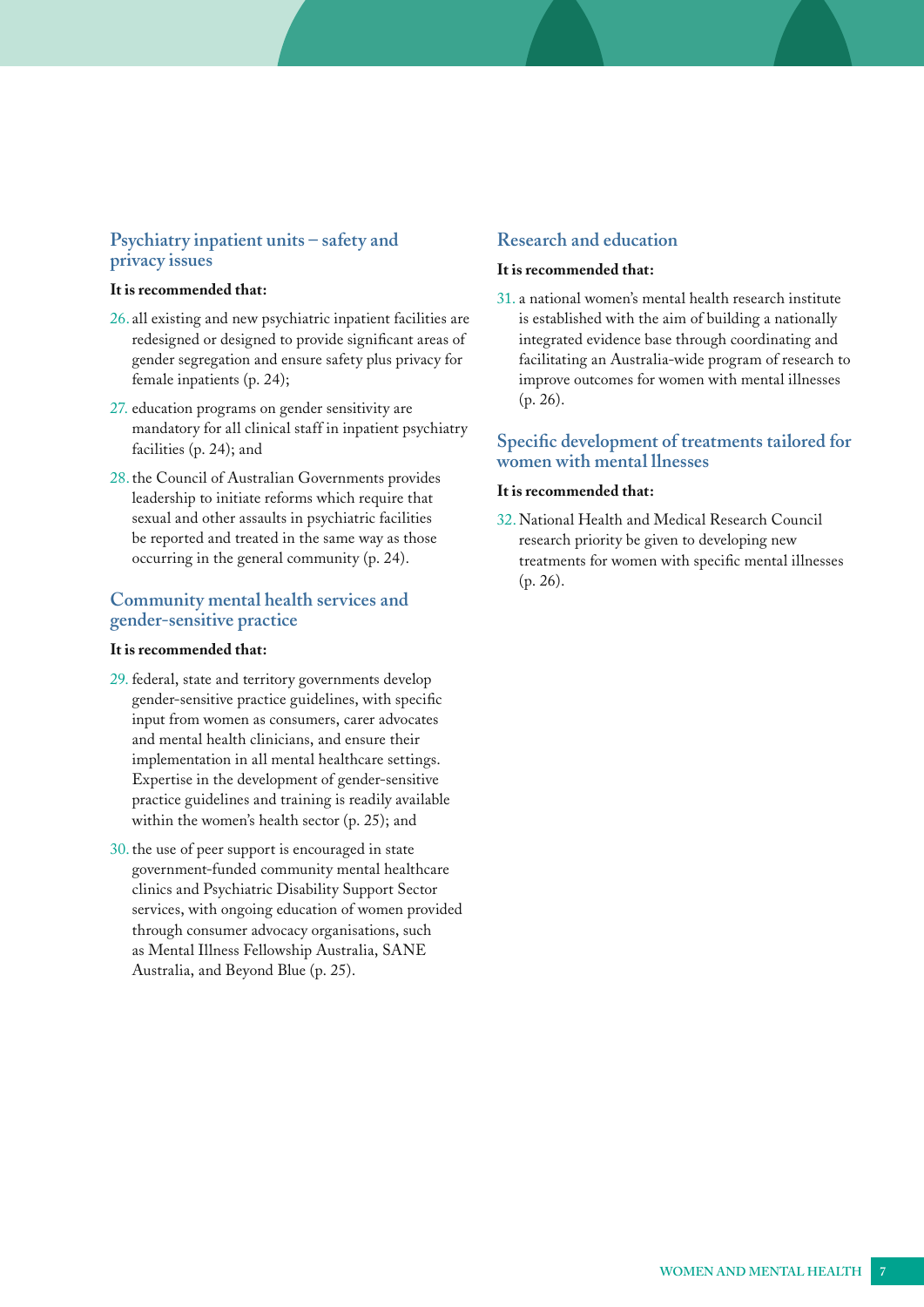#### **Psychiatry inpatient units – safety and privacy issues**

#### **It is recommended that:**

- 26. all existing and new psychiatric inpatient facilities are redesigned or designed to provide significant areas of gender segregation and ensure safety plus privacy for female inpatients [\(p. 24\)](#page-23-0);
- 27. education programs on gender sensitivity are mandatory for all clinical staff in inpatient psychiatry facilities ([p. 24](#page-23-0)); and
- 28.the Council of Australian Governments provides leadership to initiate reforms which require that sexual and other assaults in psychiatric facilities be reported and treated in the same way as those occurring in the general community [\(p. 24\)](#page-23-0).

#### **Community mental health services and gender-sensitive practice**

#### **It is recommended that:**

- 29. federal, state and territory governments develop gender-sensitive practice guidelines, with specific input from women as consumers, carer advocates and mental health clinicians, and ensure their implementation in all mental healthcare settings. Expertise in the development of gender-sensitive practice guidelines and training is readily available within the women's health sector ([p. 25\)](#page-24-0); and
- 30.the use of peer support is encouraged in state government-funded community mental healthcare clinics and Psychiatric Disability Support Sector services, with ongoing education of women provided through consumer advocacy organisations, such as Mental Illness Fellowship Australia, SANE Australia, and Beyond Blue ([p. 25](#page-24-0)).

#### **Research and education**

#### **It is recommended that:**

31. a national women's mental health research institute is established with the aim of building a nationally integrated evidence base through coordinating and facilitating an Australia-wide program of research to improve outcomes for women with mental illnesses [\(p. 26](#page-25-0)).

#### **Specific development of treatments tailored for women with mental llnesses**

#### **It is recommended that:**

32. National Health and Medical Research Council research priority be given to developing new treatments for women with specific mental illnesses ([p. 26](#page-25-0)).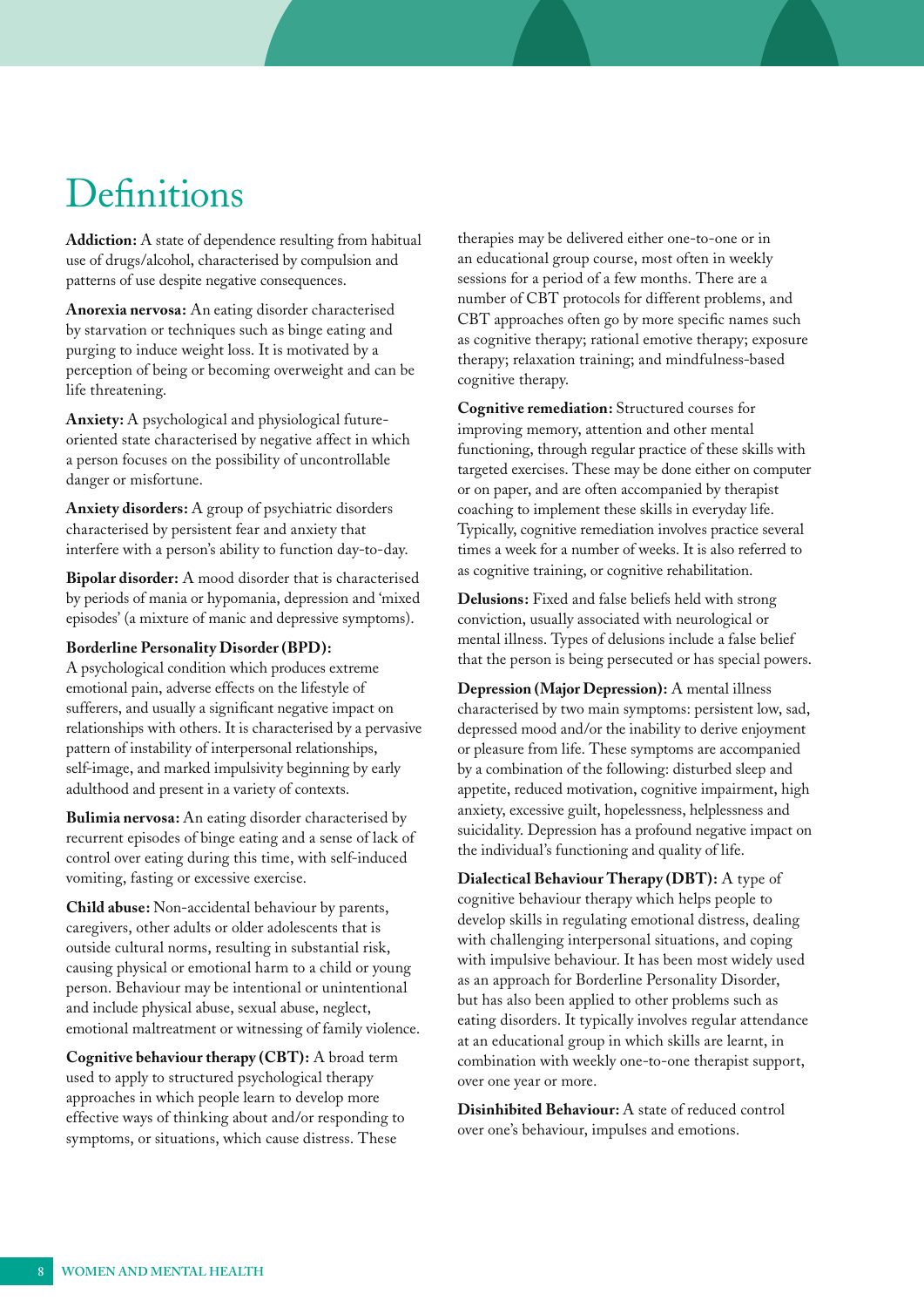## <span id="page-7-0"></span>**Definitions**

**Addiction:** A state of dependence resulting from habitual use of drugs/alcohol, characterised by compulsion and patterns of use despite negative consequences.

**Anorexia nervosa:** An eating disorder characterised by starvation or techniques such as binge eating and purging to induce weight loss. It is motivated by a perception of being or becoming overweight and can be life threatening.

**Anxiety:** A psychological and physiological futureoriented state characterised by negative affect in which a person focuses on the possibility of uncontrollable danger or misfortune.

**Anxiety disorders:** A group of psychiatric disorders characterised by persistent fear and anxiety that interfere with a person's ability to function day-to-day.

**Bipolar disorder:** A mood disorder that is characterised by periods of mania or hypomania, depression and 'mixed episodes' (a mixture of manic and depressive symptoms).

#### **Borderline Personality Disorder (BPD):**

A psychological condition which produces extreme emotional pain, adverse effects on the lifestyle of sufferers, and usually a significant negative impact on relationships with others. It is characterised by a pervasive pattern of instability of interpersonal relationships, self-image, and marked impulsivity beginning by early adulthood and present in a variety of contexts.

**Bulimia nervosa:** An eating disorder characterised by recurrent episodes of binge eating and a sense of lack of control over eating during this time, with self-induced vomiting, fasting or excessive exercise.

**Child abuse:** Non-accidental behaviour by parents, caregivers, other adults or older adolescents that is outside cultural norms, resulting in substantial risk, causing physical or emotional harm to a child or young person. Behaviour may be intentional or unintentional and include physical abuse, sexual abuse, neglect, emotional maltreatment or witnessing of family violence.

**Cognitive behaviour therapy (CBT):** A broad term used to apply to structured psychological therapy approaches in which people learn to develop more effective ways of thinking about and/or responding to symptoms, or situations, which cause distress. These

therapies may be delivered either one-to-one or in an educational group course, most often in weekly sessions for a period of a few months. There are a number of CBT protocols for different problems, and CBT approaches often go by more specific names such as cognitive therapy; rational emotive therapy; exposure therapy; relaxation training; and mindfulness-based cognitive therapy.

**Cognitive remediation:** Structured courses for improving memory, attention and other mental functioning, through regular practice of these skills with targeted exercises. These may be done either on computer or on paper, and are often accompanied by therapist coaching to implement these skills in everyday life. Typically, cognitive remediation involves practice several times a week for a number of weeks. It is also referred to as cognitive training, or cognitive rehabilitation.

**Delusions:** Fixed and false beliefs held with strong conviction, usually associated with neurological or mental illness. Types of delusions include a false belief that the person is being persecuted or has special powers.

**Depression (Major Depression):** A mental illness characterised by two main symptoms: persistent low, sad, depressed mood and/or the inability to derive enjoyment or pleasure from life. These symptoms are accompanied by a combination of the following: disturbed sleep and appetite, reduced motivation, cognitive impairment, high anxiety, excessive guilt, hopelessness, helplessness and suicidality. Depression has a profound negative impact on the individual's functioning and quality of life.

**Dialectical Behaviour Therapy (DBT):** A type of cognitive behaviour therapy which helps people to develop skills in regulating emotional distress, dealing with challenging interpersonal situations, and coping with impulsive behaviour. It has been most widely used as an approach for Borderline Personality Disorder, but has also been applied to other problems such as eating disorders. It typically involves regular attendance at an educational group in which skills are learnt, in combination with weekly one-to-one therapist support, over one year or more.

**Disinhibited Behaviour:** A state of reduced control over one's behaviour, impulses and emotions.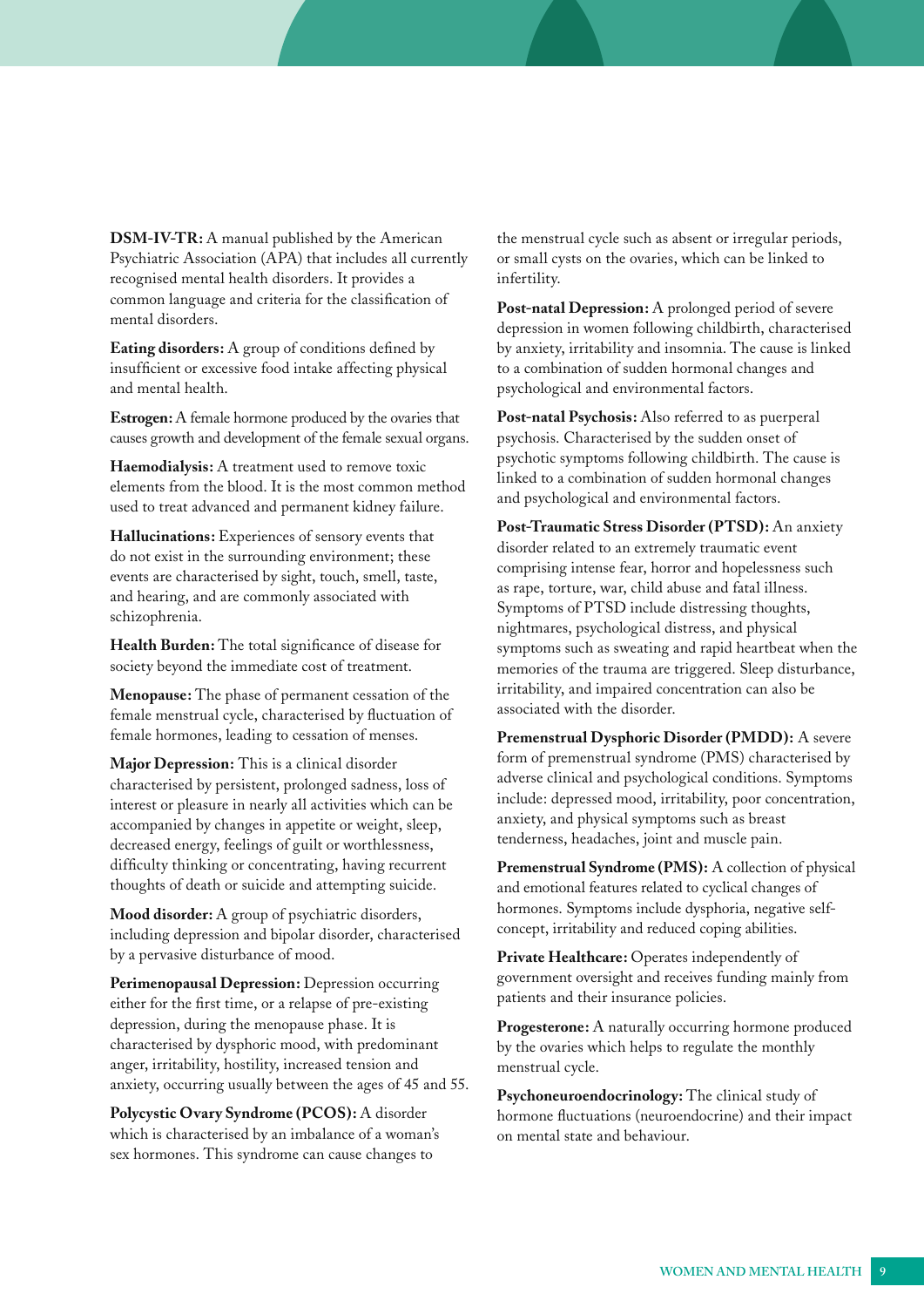**DSM-IV-TR:** A manual published by the American Psychiatric Association (APA) that includes all currently recognised mental health disorders. It provides a common language and criteria for the classification of mental disorders.

**Eating disorders:** A group of conditions defined by insufficient or excessive food intake affecting physical and mental health.

**Estrogen:** A female hormone produced by the ovaries that causes growth and development of the female sexual organs.

**Haemodialysis:** A treatment used to remove toxic elements from the blood. It is the most common method used to treat advanced and permanent kidney failure.

**Hallucinations:** Experiences of sensory events that do not exist in the surrounding environment; these events are characterised by sight, touch, smell, taste, and hearing, and are commonly associated with schizophrenia.

**Health Burden:** The total significance of disease for society beyond the immediate cost of treatment.

**Menopause:** The phase of permanent cessation of the female menstrual cycle, characterised by fluctuation of female hormones, leading to cessation of menses.

**Major Depression:** This is a clinical disorder characterised by persistent, prolonged sadness, loss of interest or pleasure in nearly all activities which can be accompanied by changes in appetite or weight, sleep, decreased energy, feelings of guilt or worthlessness, difficulty thinking or concentrating, having recurrent thoughts of death or suicide and attempting suicide.

**Mood disorder:** A group of psychiatric disorders, including depression and bipolar disorder, characterised by a pervasive disturbance of mood.

**Perimenopausal Depression:** Depression occurring either for the first time, or a relapse of pre-existing depression, during the menopause phase. It is characterised by dysphoric mood, with predominant anger, irritability, hostility, increased tension and anxiety, occurring usually between the ages of 45 and 55.

**Polycystic Ovary Syndrome (PCOS):** A disorder which is characterised by an imbalance of a woman's sex hormones. This syndrome can cause changes to

the menstrual cycle such as absent or irregular periods, or small cysts on the ovaries, which can be linked to infertility.

Post-natal Depression: A prolonged period of severe depression in women following childbirth, characterised by anxiety, irritability and insomnia. The cause is linked to a combination of sudden hormonal changes and psychological and environmental factors.

**Post-natal Psychosis:** Also referred to as puerperal psychosis. Characterised by the sudden onset of psychotic symptoms following childbirth. The cause is linked to a combination of sudden hormonal changes and psychological and environmental factors.

**Post-Traumatic Stress Disorder (PTSD):** An anxiety disorder related to an extremely traumatic event comprising intense fear, horror and hopelessness such as rape, torture, war, child abuse and fatal illness. Symptoms of PTSD include distressing thoughts, nightmares, psychological distress, and physical symptoms such as sweating and rapid heartbeat when the memories of the trauma are triggered. Sleep disturbance, irritability, and impaired concentration can also be associated with the disorder.

**Premenstrual Dysphoric Disorder (PMDD):** A severe form of premenstrual syndrome (PMS) characterised by adverse clinical and psychological conditions. Symptoms include: depressed mood, irritability, poor concentration, anxiety, and physical symptoms such as breast tenderness, headaches, joint and muscle pain.

**Premenstrual Syndrome (PMS):** A collection of physical and emotional features related to cyclical changes of hormones. Symptoms include dysphoria, negative selfconcept, irritability and reduced coping abilities.

Private Healthcare: Operates independently of government oversight and receives funding mainly from patients and their insurance policies.

**Progesterone:** A naturally occurring hormone produced by the ovaries which helps to regulate the monthly menstrual cycle.

**Psychoneuroendocrinology:** The clinical study of hormone fluctuations (neuroendocrine) and their impact on mental state and behaviour.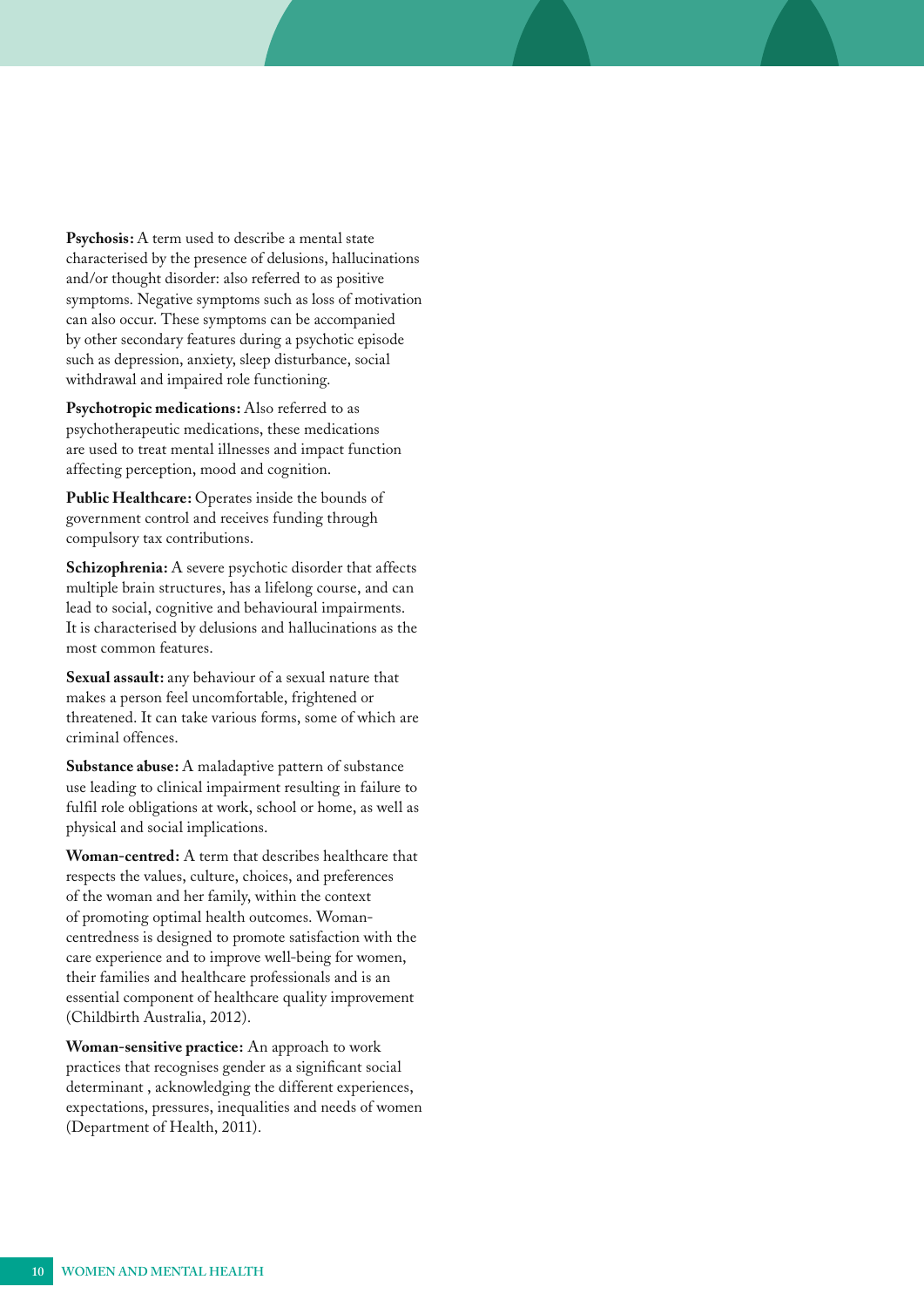**Psychosis:** A term used to describe a mental state characterised by the presence of delusions, hallucinations and/or thought disorder: also referred to as positive symptoms. Negative symptoms such as loss of motivation can also occur. These symptoms can be accompanied by other secondary features during a psychotic episode such as depression, anxiety, sleep disturbance, social withdrawal and impaired role functioning.

**Psychotropic medications:** Also referred to as psychotherapeutic medications, these medications are used to treat mental illnesses and impact function affecting perception, mood and cognition.

Public Healthcare: Operates inside the bounds of government control and receives funding through compulsory tax contributions.

Schizophrenia: A severe psychotic disorder that affects multiple brain structures, has a lifelong course, and can lead to social, cognitive and behavioural impairments. It is characterised by delusions and hallucinations as the most common features.

**Sexual assault:** any behaviour of a sexual nature that makes a person feel uncomfortable, frightened or threatened. It can take various forms, some of which are criminal offences.

**Substance abuse:** A maladaptive pattern of substance use leading to clinical impairment resulting in failure to fulfil role obligations at work, school or home, as well as physical and social implications.

**Woman-centred:** A term that describes healthcare that respects the values, culture, choices, and preferences of the woman and her family, within the context of promoting optimal health outcomes. Womancentredness is designed to promote satisfaction with the care experience and to improve well-being for women, their families and healthcare professionals and is an essential component of healthcare quality improvement (Childbirth Australia, 2012).

**Woman-sensitive practice:** An approach to work practices that recognises gender as a significant social determinant , acknowledging the different experiences, expectations, pressures, inequalities and needs of women (Department of Health, 2011).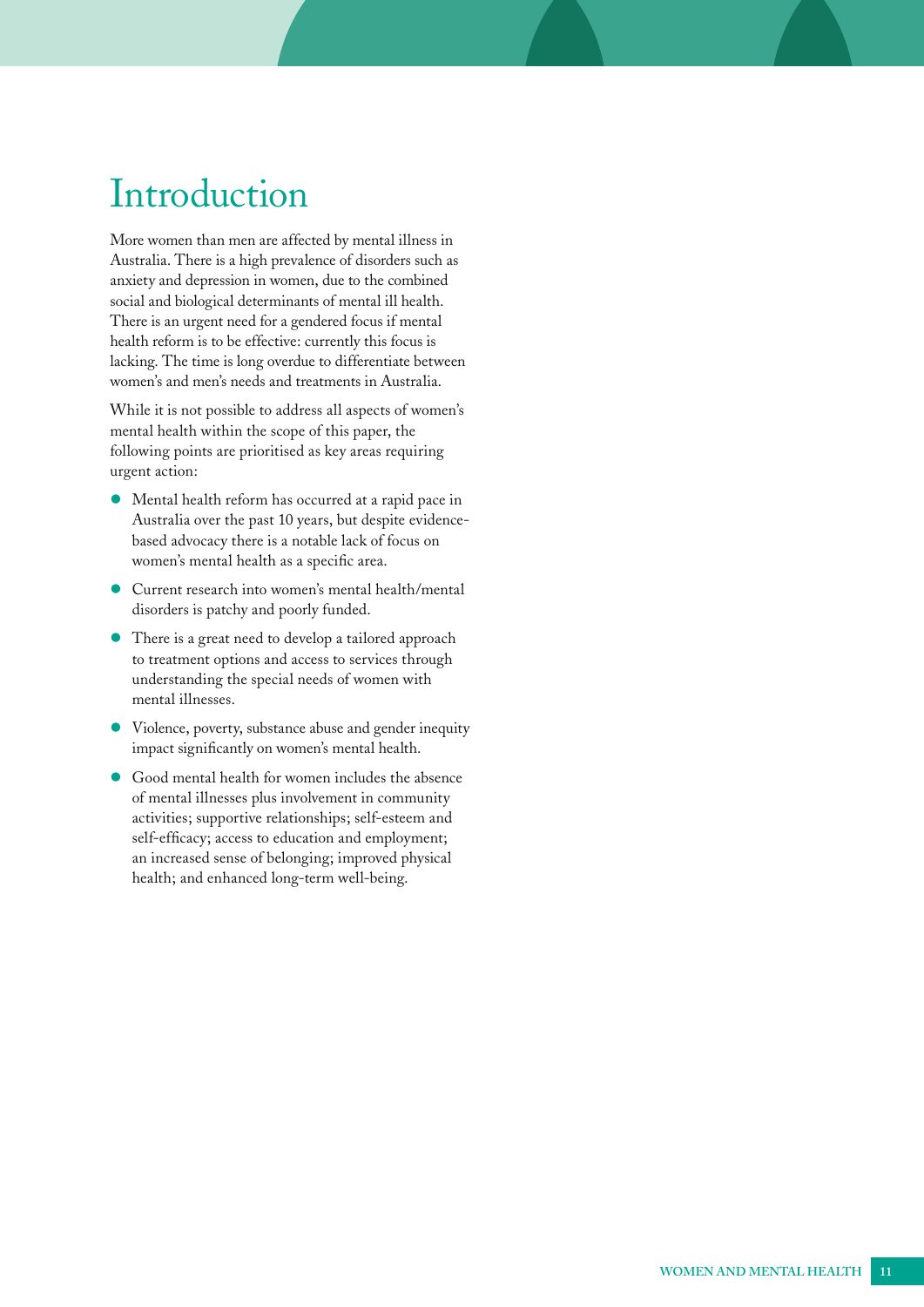## <span id="page-10-0"></span>Introduction

More women than men are affected by mental illness in Australia. There is a high prevalence of disorders such as anxiety and depression in women, due to the combined social and biological determinants of mental ill health. There is an urgent need for a gendered focus if mental health reform is to be effective: currently this focus is lacking. The time is long overdue to differentiate between women's and men's needs and treatments in Australia.

While it is not possible to address all aspects of women's mental health within the scope of this paper, the following points are prioritised as key areas requiring urgent action:

- Mental health reform has occurred at a rapid pace in Australia over the past 10 years, but despite evidencebased advocacy there is a notable lack of focus on women's mental health as a specific area.
- Current research into women's mental health/mental disorders is patchy and poorly funded.
- There is a great need to develop a tailored approach to treatment options and access to services through understanding the special needs of women with mental illnesses.
- Violence, poverty, substance abuse and gender inequity impact significantly on women's mental health.
- Good mental health for women includes the absence of mental illnesses plus involvement in community activities; supportive relationships; self-esteem and self-efficacy; access to education and employment; an increased sense of belonging; improved physical health; and enhanced long-term well-being.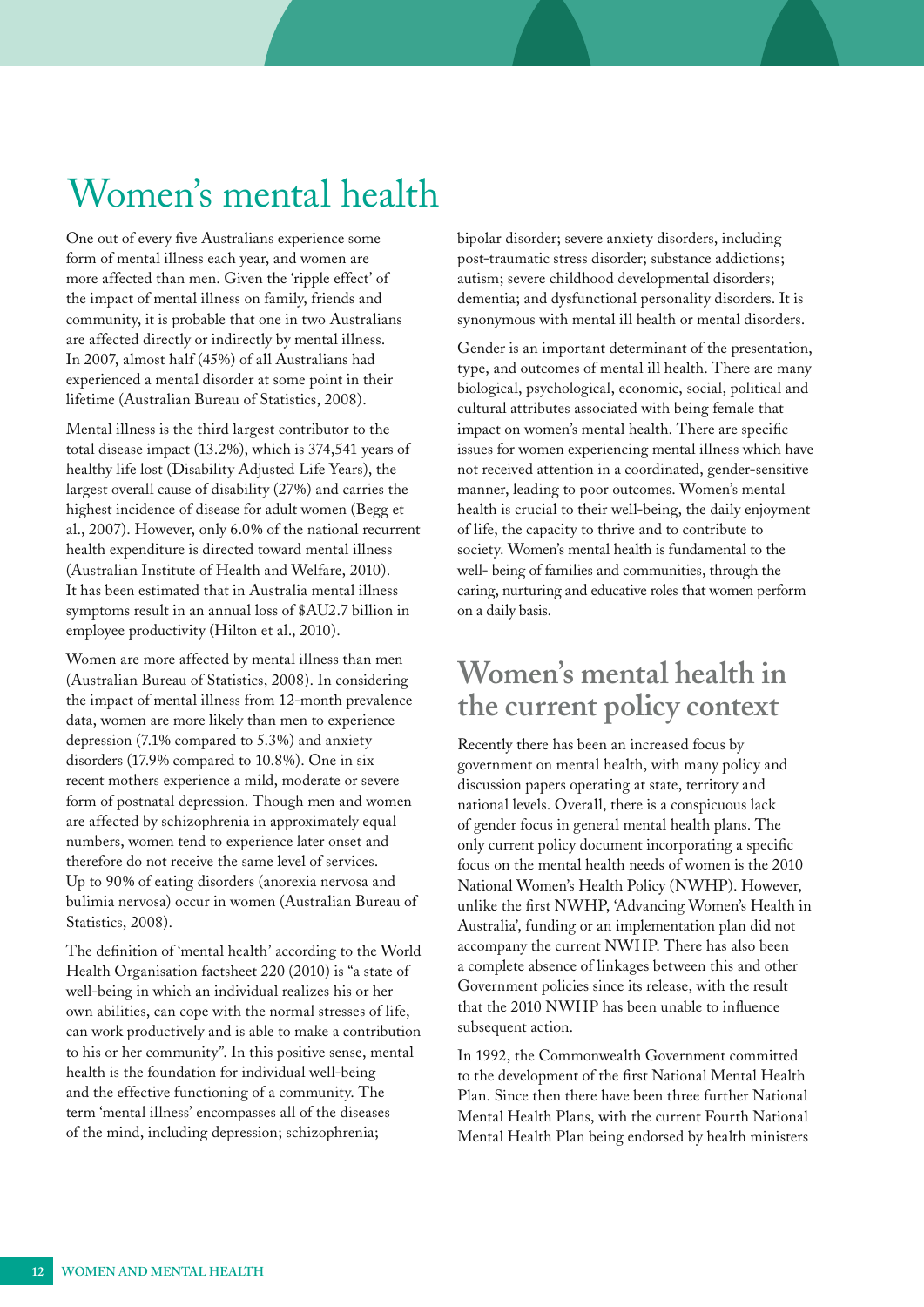## <span id="page-11-0"></span>Women's mental health

One out of every five Australians experience some form of mental illness each year, and women are more affected than men. Given the 'ripple effect' of the impact of mental illness on family, friends and community, it is probable that one in two Australians are affected directly or indirectly by mental illness. In 2007, almost half (45%) of all Australians had experienced a mental disorder at some point in their lifetime (Australian Bureau of Statistics, 2008).

Mental illness is the third largest contributor to the total disease impact (13.2%), which is 374,541 years of healthy life lost (Disability Adjusted Life Years), the largest overall cause of disability (27%) and carries the highest incidence of disease for adult women (Begg et al., 2007). However, only 6.0% of the national recurrent health expenditure is directed toward mental illness (Australian Institute of Health and Welfare, 2010). It has been estimated that in Australia mental illness symptoms result in an annual loss of \$AU2.7 billion in employee productivity (Hilton et al., 2010).

Women are more affected by mental illness than men (Australian Bureau of Statistics, 2008). In considering the impact of mental illness from 12-month prevalence data, women are more likely than men to experience depression (7.1% compared to 5.3%) and anxiety disorders (17.9% compared to 10.8%). One in six recent mothers experience a mild, moderate or severe form of postnatal depression. Though men and women are affected by schizophrenia in approximately equal numbers, women tend to experience later onset and therefore do not receive the same level of services. Up to 90% of eating disorders (anorexia nervosa and bulimia nervosa) occur in women (Australian Bureau of Statistics, 2008).

The definition of 'mental health' according to the World Health Organisation factsheet 220 (2010) is "a state of well-being in which an individual realizes his or her own abilities, can cope with the normal stresses of life, can work productively and is able to make a contribution to his or her community". In this positive sense, mental health is the foundation for individual well-being and the effective functioning of a community. The term 'mental illness' encompasses all of the diseases of the mind, including depression; schizophrenia;

bipolar disorder; severe anxiety disorders, including post-traumatic stress disorder; substance addictions; autism; severe childhood developmental disorders; dementia; and dysfunctional personality disorders. It is synonymous with mental ill health or mental disorders.

Gender is an important determinant of the presentation, type, and outcomes of mental ill health. There are many biological, psychological, economic, social, political and cultural attributes associated with being female that impact on women's mental health. There are specific issues for women experiencing mental illness which have not received attention in a coordinated, gender-sensitive manner, leading to poor outcomes. Women's mental health is crucial to their well-being, the daily enjoyment of life, the capacity to thrive and to contribute to society. Women's mental health is fundamental to the well- being of families and communities, through the caring, nurturing and educative roles that women perform on a daily basis.

## **Women's mental health in the current policy context**

Recently there has been an increased focus by government on mental health, with many policy and discussion papers operating at state, territory and national levels. Overall, there is a conspicuous lack of gender focus in general mental health plans. The only current policy document incorporating a specific focus on the mental health needs of women is the 2010 National Women's Health Policy (NWHP). However, unlike the first NWHP, 'Advancing Women's Health in Australia', funding or an implementation plan did not accompany the current NWHP. There has also been a complete absence of linkages between this and other Government policies since its release, with the result that the 2010 NWHP has been unable to influence subsequent action.

In 1992, the Commonwealth Government committed to the development of the first National Mental Health Plan. Since then there have been three further National Mental Health Plans, with the current Fourth National Mental Health Plan being endorsed by health ministers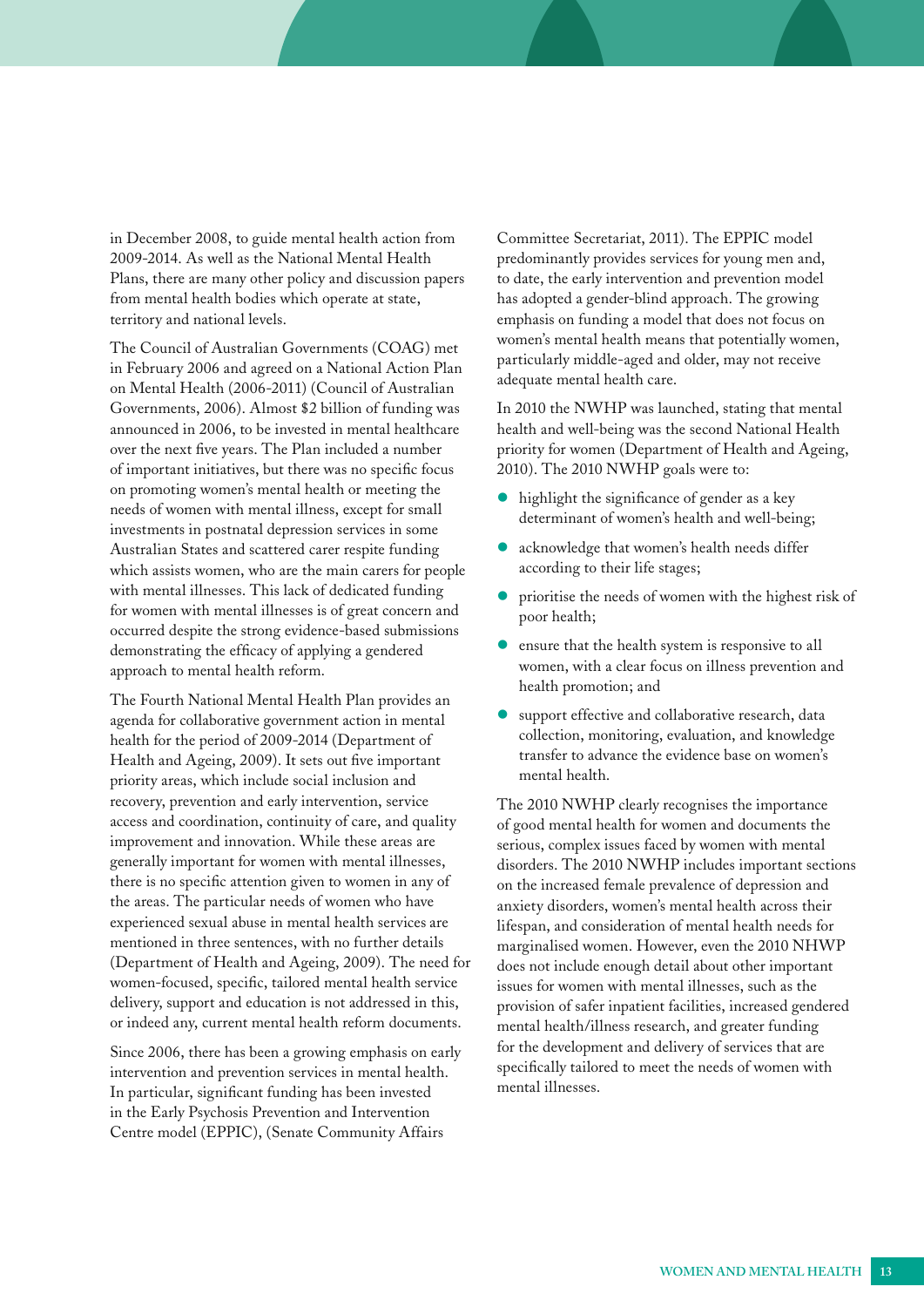in December 2008, to guide mental health action from 2009-2014. As well as the National Mental Health Plans, there are many other policy and discussion papers from mental health bodies which operate at state, territory and national levels.

The Council of Australian Governments (COAG) met in February 2006 and agreed on a National Action Plan on Mental Health (2006-2011) (Council of Australian Governments, 2006). Almost \$2 billion of funding was announced in 2006, to be invested in mental healthcare over the next five years. The Plan included a number of important initiatives, but there was no specific focus on promoting women's mental health or meeting the needs of women with mental illness, except for small investments in postnatal depression services in some Australian States and scattered carer respite funding which assists women, who are the main carers for people with mental illnesses. This lack of dedicated funding for women with mental illnesses is of great concern and occurred despite the strong evidence-based submissions demonstrating the efficacy of applying a gendered approach to mental health reform.

The Fourth National Mental Health Plan provides an agenda for collaborative government action in mental health for the period of 2009-2014 (Department of Health and Ageing, 2009). It sets out five important priority areas, which include social inclusion and recovery, prevention and early intervention, service access and coordination, continuity of care, and quality improvement and innovation. While these areas are generally important for women with mental illnesses, there is no specific attention given to women in any of the areas. The particular needs of women who have experienced sexual abuse in mental health services are mentioned in three sentences, with no further details (Department of Health and Ageing, 2009). The need for women-focused, specific, tailored mental health service delivery, support and education is not addressed in this, or indeed any, current mental health reform documents.

Since 2006, there has been a growing emphasis on early intervention and prevention services in mental health. In particular, significant funding has been invested in the Early Psychosis Prevention and Intervention Centre model (EPPIC), (Senate Community Affairs

Committee Secretariat, 2011). The EPPIC model predominantly provides services for young men and, to date, the early intervention and prevention model has adopted a gender-blind approach. The growing emphasis on funding a model that does not focus on women's mental health means that potentially women, particularly middle-aged and older, may not receive adequate mental health care.

In 2010 the NWHP was launched, stating that mental health and well-being was the second National Health priority for women (Department of Health and Ageing, 2010). The 2010 NWHP goals were to:

- highlight the significance of gender as a key determinant of women's health and well-being;
- acknowledge that women's health needs differ according to their life stages;
- **•** prioritise the needs of women with the highest risk of poor health;
- ensure that the health system is responsive to all women, with a clear focus on illness prevention and health promotion; and
- support effective and collaborative research, data collection, monitoring, evaluation, and knowledge transfer to advance the evidence base on women's mental health.

The 2010 NWHP clearly recognises the importance of good mental health for women and documents the serious, complex issues faced by women with mental disorders. The 2010 NWHP includes important sections on the increased female prevalence of depression and anxiety disorders, women's mental health across their lifespan, and consideration of mental health needs for marginalised women. However, even the 2010 NHWP does not include enough detail about other important issues for women with mental illnesses, such as the provision of safer inpatient facilities, increased gendered mental health/illness research, and greater funding for the development and delivery of services that are specifically tailored to meet the needs of women with mental illnesses.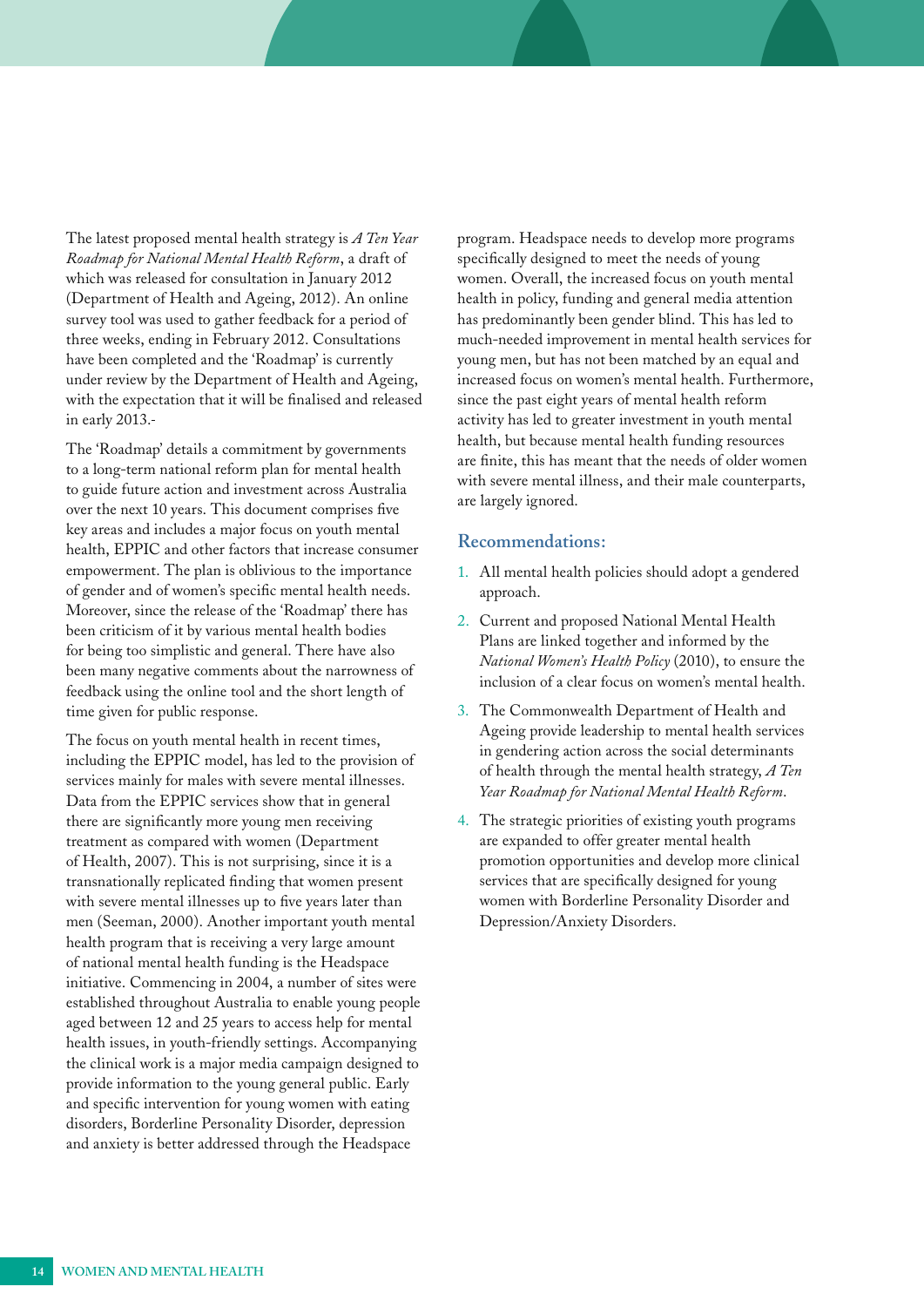<span id="page-13-0"></span>The latest proposed mental health strategy is *A Ten Year Roadmap for National Mental Health Reform*, a draft of which was released for consultation in January 2012 (Department of Health and Ageing, 2012). An online survey tool was used to gather feedback for a period of three weeks, ending in February 2012. Consultations have been completed and the 'Roadmap' is currently under review by the Department of Health and Ageing, with the expectation that it will be finalised and released in early 2013.

The 'Roadmap' details a commitment by governments to a long-term national reform plan for mental health to guide future action and investment across Australia over the next 10 years. This document comprises five key areas and includes a major focus on youth mental health, EPPIC and other factors that increase consumer empowerment. The plan is oblivious to the importance of gender and of women's specific mental health needs. Moreover, since the release of the 'Roadmap' there has been criticism of it by various mental health bodies for being too simplistic and general. There have also been many negative comments about the narrowness of feedback using the online tool and the short length of time given for public response.

The focus on youth mental health in recent times, including the EPPIC model, has led to the provision of services mainly for males with severe mental illnesses. Data from the EPPIC services show that in general there are significantly more young men receiving treatment as compared with women (Department of Health, 2007). This is not surprising, since it is a transnationally replicated finding that women present with severe mental illnesses up to five years later than men (Seeman, 2000). Another important youth mental health program that is receiving a very large amount of national mental health funding is the Headspace initiative. Commencing in 2004, a number of sites were established throughout Australia to enable young people aged between 12 and 25 years to access help for mental health issues, in youth-friendly settings. Accompanying the clinical work is a major media campaign designed to provide information to the young general public. Early and specific intervention for young women with eating disorders, Borderline Personality Disorder, depression and anxiety is better addressed through the Headspace

program. Headspace needs to develop more programs specifically designed to meet the needs of young women. Overall, the increased focus on youth mental health in policy, funding and general media attention has predominantly been gender blind. This has led to much-needed improvement in mental health services for young men, but has not been matched by an equal and increased focus on women's mental health. Furthermore, since the past eight years of mental health reform activity has led to greater investment in youth mental health, but because mental health funding resources are finite, this has meant that the needs of older women with severe mental illness, and their male counterparts, are largely ignored.

#### **Recommendations:**

- 1. All mental health policies should adopt a gendered approach.
- 2. Current and proposed National Mental Health Plans are linked together and informed by the *National Women's Health Policy* (2010), to ensure the inclusion of a clear focus on women's mental health.
- 3. The Commonwealth Department of Health and Ageing provide leadership to mental health services in gendering action across the social determinants of health through the mental health strategy, *A Ten Year Roadmap for National Mental Health Reform*.
- 4. The strategic priorities of existing youth programs are expanded to offer greater mental health promotion opportunities and develop more clinical services that are specifically designed for young women with Borderline Personality Disorder and Depression/Anxiety Disorders.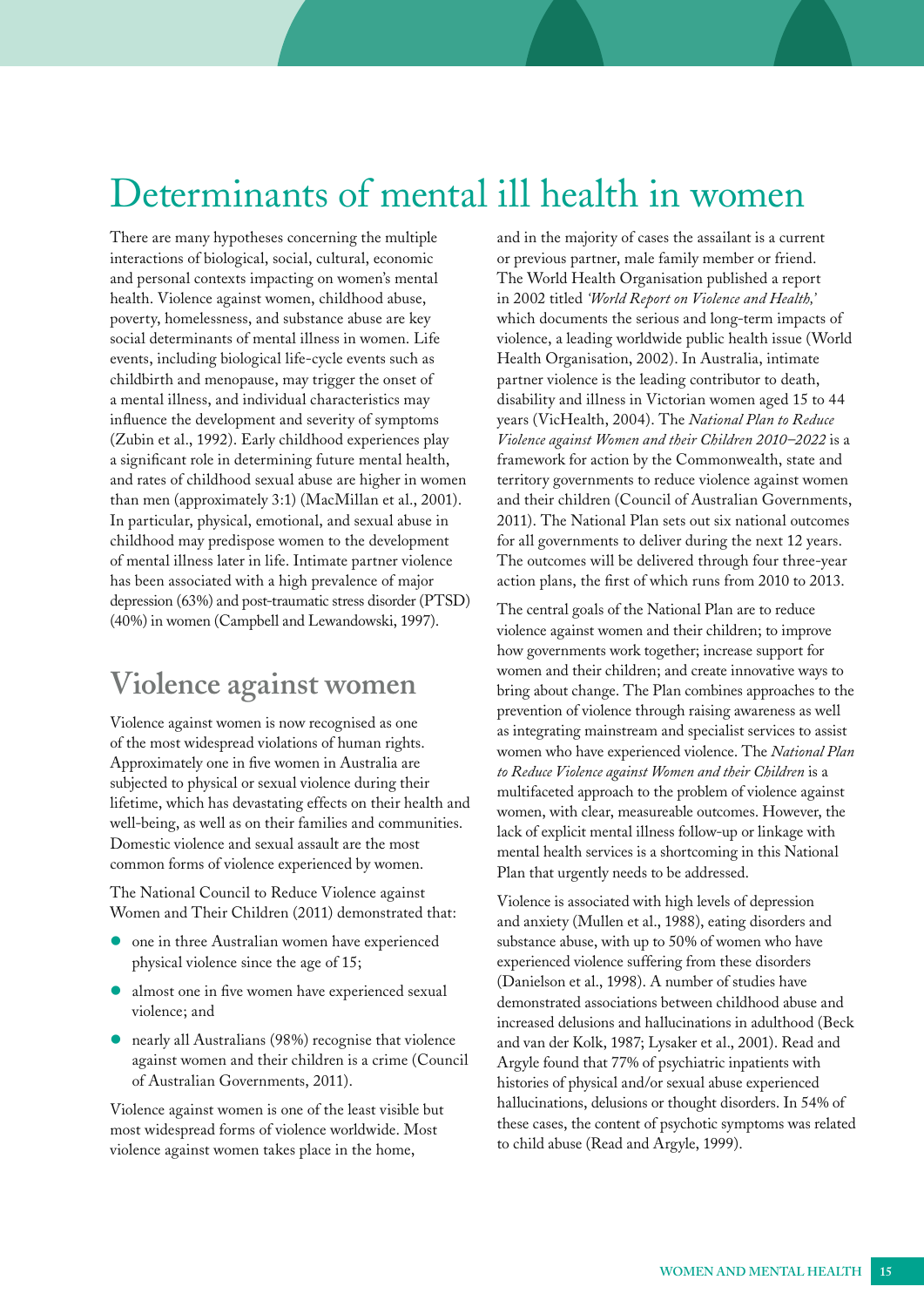## <span id="page-14-0"></span>Determinants of mental ill health in women

There are many hypotheses concerning the multiple and in the majority of cases the assailant is a current interactions of biological, social, cultural, economic or previous partner, male family member or friend. and personal contexts impacting on women's mental The World Health Organisation published a report health. Violence against women, childhood abuse, in 2002 titled 'World Report on Violence and Health,' poverty, homelessness, and substance abuse are key which documents the serious and long-term impacts of social determinants of mental illness in women. Life violence, a leading worldwide public health issue (World events, including biological life-cycle events such as Health Organisation, 2002). In Australia, intimate childbirth and menopause, may trigger the onset of partner violence is the leading contributor to death, a mental illness, and individual characteristics may disability and illness in Victorian women aged 15 to 44 influence the development and severity of symptoms years (VicHealth, 2004). The *National Plan to Reduce*  (Zubin et al., 1992). Early childhood experiences play *Violence against Women and their Children 2010–2022* is a a significant role in determining future mental health, framework for action by the Commonwealth, state and and rates of childhood sexual abuse are higher in women territory governments to reduce violence against women than men (approximately 3:1) (MacMillan et al., 2001). and their children (Council of Australian Governments, In particular, physical, emotional, and sexual abuse in 2011). The National Plan sets out six national outcomes childhood may predispose women to the development for all governments to deliver during the next 12 years. of mental illness later in life. Intimate partner violence The outcomes will be delivered through four three-year has been associated with a high prevalence of major action plans, the first of which runs from 2010 to 2013. depression (63%) and post-traumatic stress disorder (PTSD) The central goals of the National Plan are to reduce (40%) in women (Campbell and Lewandowski, 1997).

Approximately one in five women in Australia are<br>subjected to physical or sexual violence during their<br> $t_0$  Reduce Violence against Women and their Children is a

The National Council to Reduce Violence against Violence is associated with high levels of depression Women and Their Children (2011) demonstrated that: and anxiety (Mullen et al., 1988), eating disorders and

- 
- 
- against women and their children is a crime (Council Argyle found that 77% of psychiatric inpatients with

how governments work together; increase support for **Violence against women** and their children; and create innovative ways to<br>bring about change. The Plan combines approaches to the bring about change. The Plan combines approaches to the Violence against women is now recognised as one<br>of the most widespread violations of human rights.<br>Approximately one in five women in Australia are<br> $\frac{p_{\text{e}}}{p_{\text{e}}}\times\frac{p_{\text{e}}}{p_{\text{e}}}\times\frac{p_{\text{e}}}{p_{\text{e}}}\times\frac{p_{\text{e}}}{p_{$ subjected to physical or sexual violence during their<br>lifetime, which has devastating effects on their health and<br>well-being, as well as on their families and communities.<br>Domestic violence and sexual assault are the most<br>

one in three Australian women have experienced substance abuse, with up to 50% of women who have physical violence since the age of 15; experienced violence suffering from these disorders almost one in five women have experienced sexual (Danielson et al., 1998). A number of studies have<br>
demonstrated associations between childhood abuse and<br>
increased delusions and hallucinations in adulthood (Beck nearly all Australians (98%) recognise that violence and van der Kolk, 1987; Lysaker et al., 2001). Read and of Australian Governments, 2011). histories of physical and/or sexual abuse experienced Violence against women is one of the least visible but<br>most widespread forms of violence worldwide. Most<br>violence against women takes place in the home,<br>to child abuse (Read and Argyle, 1999).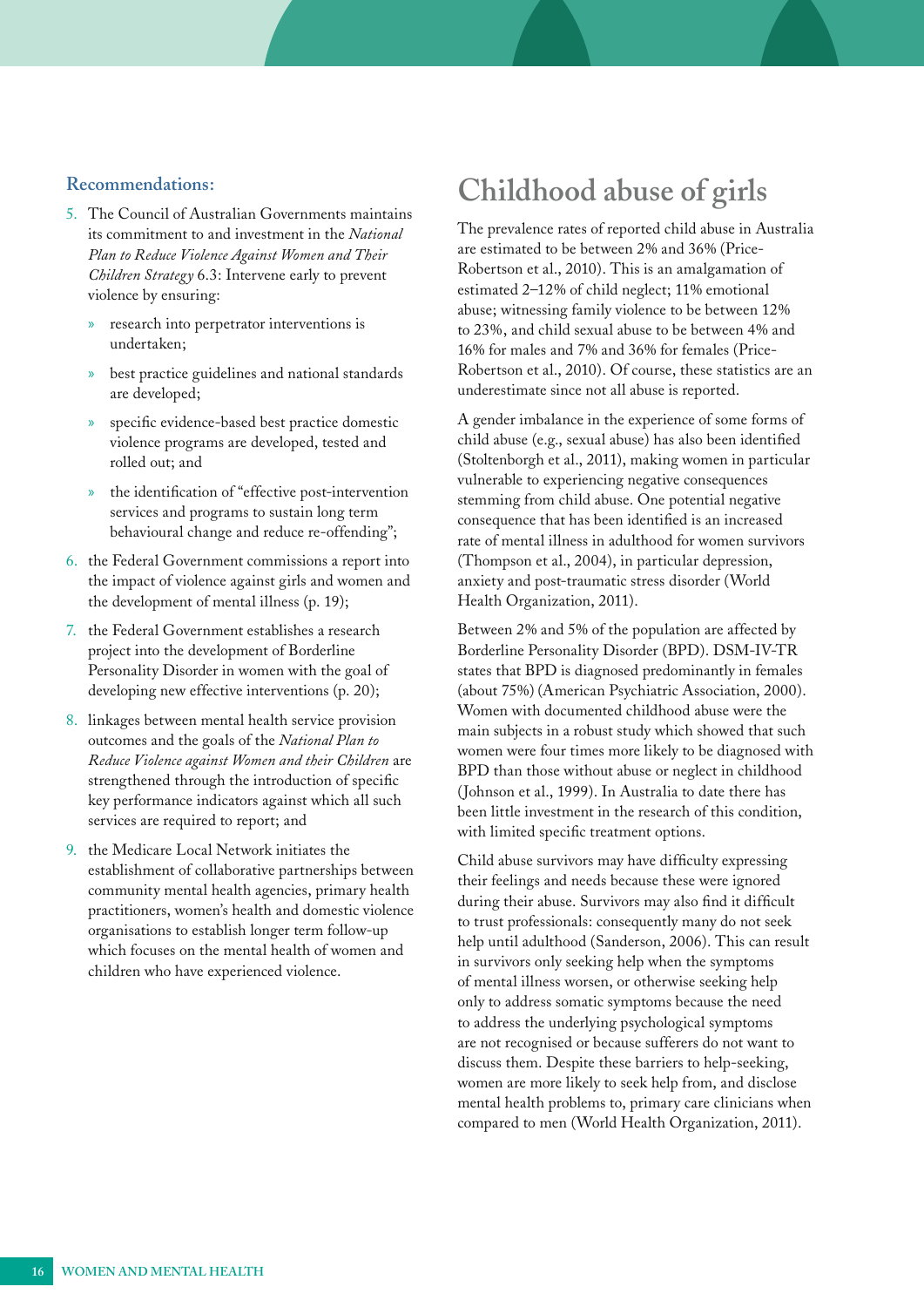#### <span id="page-15-0"></span>**Recommendations:**

- 5. The Council of Australian Governments maintains its commitment to and investment in the *National Plan to Reduce Violence Against Women and Their Children Strategy* 6.3: Intervene early to prevent violence by ensuring:
	- » research into perpetrator interventions is undertaken;
	- best practice guidelines and national standards are developed;
	- specific evidence-based best practice domestic violence programs are developed, tested and rolled out; and
	- » the identification of "effective post-intervention services and programs to sustain long term behavioural change and reduce re-offending";
- 6. the Federal Government commissions a report into the impact of violence against girls and women and the development of mental illness (p. 19);
- 7. the Federal Government establishes a research project into the development of Borderline Personality Disorder in women with the goal of developing new effective interventions (p. 20);
- 8. linkages between mental health service provision outcomes and the goals of the *National Plan to Reduce Violence against Women and their Children* are strengthened through the introduction of specific key performance indicators against which all such services are required to report; and
- 9. the Medicare Local Network initiates the establishment of collaborative partnerships between community mental health agencies, primary health practitioners, women's health and domestic violence organisations to establish longer term follow-up which focuses on the mental health of women and children who have experienced violence.

## **Childhood abuse of girls**

The prevalence rates of reported child abuse in Australia are estimated to be between 2% and 36% (Price-Robertson et al., 2010). This is an amalgamation of estimated 2–12% of child neglect; 11% emotional abuse; witnessing family violence to be between 12% to 23%, and child sexual abuse to be between 4% and 16% for males and 7% and 36% for females (Price-Robertson et al., 2010). Of course, these statistics are an underestimate since not all abuse is reported.

A gender imbalance in the experience of some forms of child abuse (e.g., sexual abuse) has also been identified (Stoltenborgh et al., 2011), making women in particular vulnerable to experiencing negative consequences stemming from child abuse. One potential negative consequence that has been identified is an increased rate of mental illness in adulthood for women survivors (Thompson et al., 2004), in particular depression, anxiety and post-traumatic stress disorder (World Health Organization, 2011).

Between 2% and 5% of the population are affected by Borderline Personality Disorder (BPD). DSM-IV-TR states that BPD is diagnosed predominantly in females (about 75%) (American Psychiatric Association, 2000). Women with documented childhood abuse were the main subjects in a robust study which showed that such women were four times more likely to be diagnosed with BPD than those without abuse or neglect in childhood (Johnson et al., 1999). In Australia to date there has been little investment in the research of this condition, with limited specific treatment options.

Child abuse survivors may have difficulty expressing their feelings and needs because these were ignored during their abuse. Survivors may also find it difficult to trust professionals: consequently many do not seek help until adulthood (Sanderson, 2006). This can result in survivors only seeking help when the symptoms of mental illness worsen, or otherwise seeking help only to address somatic symptoms because the need to address the underlying psychological symptoms are not recognised or because sufferers do not want to discuss them. Despite these barriers to help-seeking, women are more likely to seek help from, and disclose mental health problems to, primary care clinicians when compared to men (World Health Organization, 2011).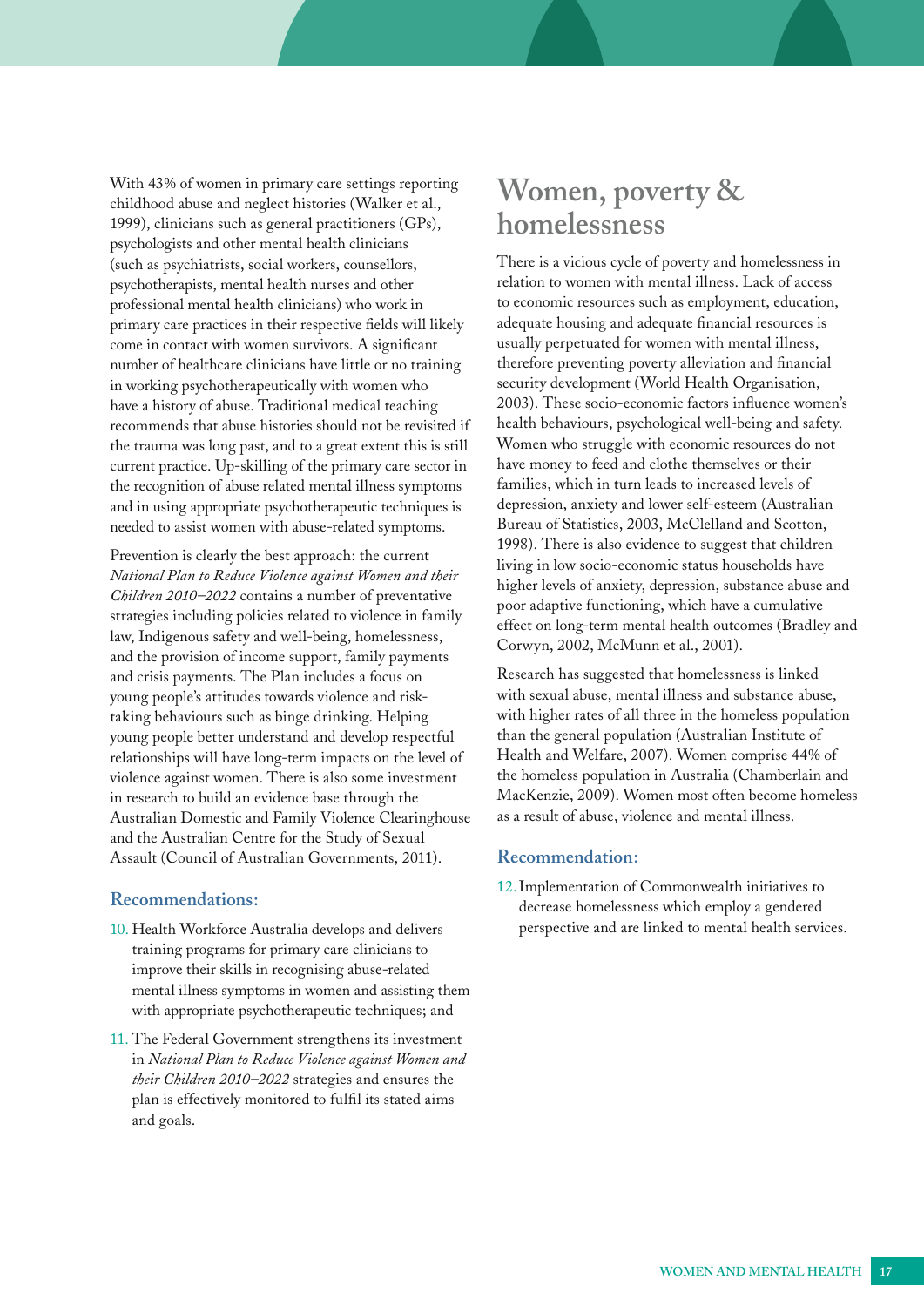<span id="page-16-0"></span>With 43% of women in primary care settings reporting childhood abuse and neglect histories (Walker et al., 1999), clinicians such as general practitioners (GPs), psychologists and other mental health clinicians (such as psychiatrists, social workers, counsellors, psychotherapists, mental health nurses and other professional mental health clinicians) who work in primary care practices in their respective fields will likely come in contact with women survivors. A significant number of healthcare clinicians have little or no training in working psychotherapeutically with women who have a history of abuse. Traditional medical teaching recommends that abuse histories should not be revisited if the trauma was long past, and to a great extent this is still current practice. Up-skilling of the primary care sector in the recognition of abuse related mental illness symptoms and in using appropriate psychotherapeutic techniques is needed to assist women with abuse-related symptoms.

Prevention is clearly the best approach: the current *National Plan to Reduce Violence against Women and their Children 2010–2022* contains a number of preventative strategies including policies related to violence in family law, Indigenous safety and well-being, homelessness, and the provision of income support, family payments and crisis payments. The Plan includes a focus on young people's attitudes towards violence and risktaking behaviours such as binge drinking. Helping young people better understand and develop respectful relationships will have long-term impacts on the level of violence against women. There is also some investment in research to build an evidence base through the Australian Domestic and Family Violence Clearinghouse and the Australian Centre for the Study of Sexual Assault (Council of Australian Governments, 2011).

#### **Recommendations:**

- 10. Health Workforce Australia develops and delivers training programs for primary care clinicians to improve their skills in recognising abuse-related mental illness symptoms in women and assisting them with appropriate psychotherapeutic techniques; and
- 11. The Federal Government strengthens its investment in *National Plan to Reduce Violence against Women and their Children 2010–2022* strategies and ensures the plan is effectively monitored to fulfil its stated aims and goals.

## **Women, poverty & homelessness**

There is a vicious cycle of poverty and homelessness in relation to women with mental illness. Lack of access to economic resources such as employment, education, adequate housing and adequate financial resources is usually perpetuated for women with mental illness, therefore preventing poverty alleviation and financial security development (World Health Organisation, 2003). These socio-economic factors influence women's health behaviours, psychological well-being and safety. Women who struggle with economic resources do not have money to feed and clothe themselves or their families, which in turn leads to increased levels of depression, anxiety and lower self-esteem (Australian Bureau of Statistics, 2003, McClelland and Scotton, 1998). There is also evidence to suggest that children living in low socio-economic status households have higher levels of anxiety, depression, substance abuse and poor adaptive functioning, which have a cumulative effect on long-term mental health outcomes (Bradley and Corwyn, 2002, McMunn et al., 2001).

Research has suggested that homelessness is linked with sexual abuse, mental illness and substance abuse, with higher rates of all three in the homeless population than the general population (Australian Institute of Health and Welfare, 2007). Women comprise 44% of the homeless population in Australia (Chamberlain and MacKenzie, 2009). Women most often become homeless as a result of abuse, violence and mental illness.

#### **Recommendation:**

12.Implementation of Commonwealth initiatives to decrease homelessness which employ a gendered perspective and are linked to mental health services.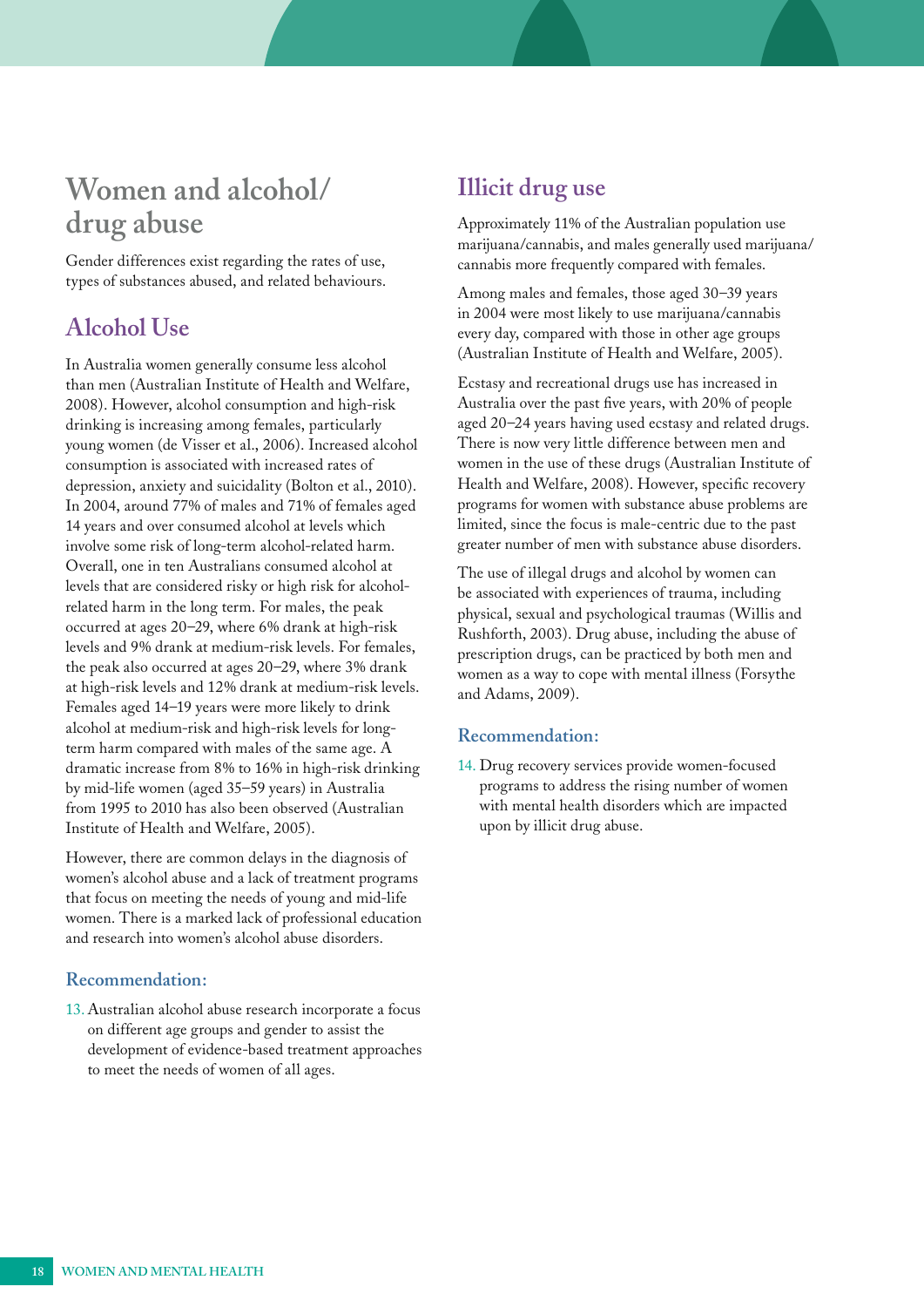## <span id="page-17-0"></span>**Women and alcohol/ drug abuse**

Gender differences exist regarding the rates of use, types of substances abused, and related behaviours.

### **Alcohol Use**

In Australia women generally consume less alcohol than men (Australian Institute of Health and Welfare, 2008). However, alcohol consumption and high-risk drinking is increasing among females, particularly young women (de Visser et al., 2006). Increased alcohol consumption is associated with increased rates of depression, anxiety and suicidality (Bolton et al., 2010). In 2004, around 77% of males and 71% of females aged 14 years and over consumed alcohol at levels which involve some risk of long-term alcohol-related harm. Overall, one in ten Australians consumed alcohol at levels that are considered risky or high risk for alcoholrelated harm in the long term. For males, the peak occurred at ages 20–29, where 6% drank at high-risk levels and 9% drank at medium-risk levels. For females, the peak also occurred at ages 20–29, where 3% drank at high-risk levels and 12% drank at medium-risk levels. Females aged 14–19 years were more likely to drink alcohol at medium-risk and high-risk levels for longterm harm compared with males of the same age. A dramatic increase from 8% to 16% in high-risk drinking by mid-life women (aged 35–59 years) in Australia from 1995 to 2010 has also been observed (Australian Institute of Health and Welfare, 2005).

However, there are common delays in the diagnosis of women's alcohol abuse and a lack of treatment programs that focus on meeting the needs of young and mid-life women. There is a marked lack of professional education and research into women's alcohol abuse disorders.

#### **Recommendation:**

13. Australian alcohol abuse research incorporate a focus on different age groups and gender to assist the development of evidence-based treatment approaches to meet the needs of women of all ages.

#### **Illicit drug use**

Approximately 11% of the Australian population use marijuana/cannabis, and males generally used marijuana/ cannabis more frequently compared with females.

Among males and females, those aged 30–39 years in 2004 were most likely to use marijuana/cannabis every day, compared with those in other age groups (Australian Institute of Health and Welfare, 2005).

Ecstasy and recreational drugs use has increased in Australia over the past five years, with 20% of people aged 20–24 years having used ecstasy and related drugs. There is now very little difference between men and women in the use of these drugs (Australian Institute of Health and Welfare, 2008). However, specific recovery programs for women with substance abuse problems are limited, since the focus is male-centric due to the past greater number of men with substance abuse disorders.

The use of illegal drugs and alcohol by women can be associated with experiences of trauma, including physical, sexual and psychological traumas (Willis and Rushforth, 2003). Drug abuse, including the abuse of prescription drugs, can be practiced by both men and women as a way to cope with mental illness (Forsythe and Adams, 2009).

#### **Recommendation:**

14. Drug recovery services provide women-focused programs to address the rising number of women with mental health disorders which are impacted upon by illicit drug abuse.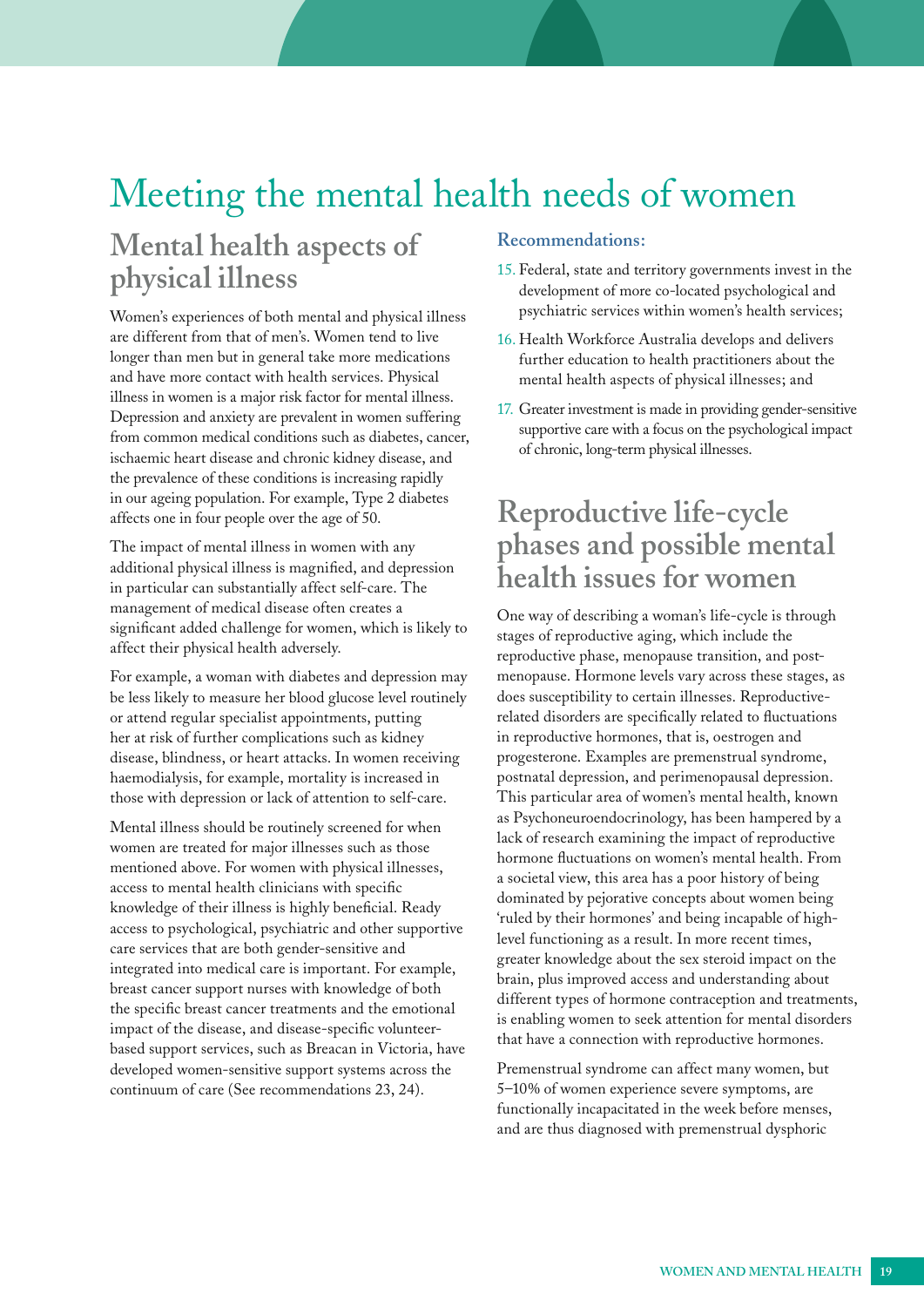## <span id="page-18-0"></span>Meeting the mental health needs of women

# Mental health aspects of Recommendations:

Women's experiences of both mental and physical illness psychiatric services within women's health services; are different from that of men's. Women tend to live 16. Health Workforce Australia develops and delivers longer than men but in general take more medications further education to health practitioners about the and have more contact with health services. Physical mental health aspects of physical illnesses; and illness in women is a major risk factor for mental illness.<br>
Depression and anxiety are prevalent in women suffering<br>
from common medical conditions such as diabetes, cancer,<br>
ischaemic heart disease and chronic kidney dis the prevalence of these conditions is increasing rapidly in our ageing population. For example, Type 2 diabetes affects one in four people over the age of 50. **Reproductive life-cycle** 

additional physical illness is magnified, and depression in particular can substantially affect self-care. The **health issues for women** management of medical disease often creates a<br>significant added challenge for women, which is likely to<br>affect their physical health adversely.<br>The stages of reproductive aging, which include the<br>reproductive phase, menopa

For example, a woman with diabetes and depression may menopause. Hormone levels vary across these stages, as be less likely to measure her blood glucose level routinely does susceptibility to certain illnesses. Reproductiveor attend regular specialist appointments, putting related disorders are specifically related to fluctuations her at risk of further complications such as kidney in reproductive hormones, that is, oestrogen and disease, blindness, or heart attacks. In women receiving progesterone. Examples are premenstrual syndrome, haemodialysis, for example, mortality is increased in postnatal depression, and perimenopausal depression. those with depression or lack of attention to self-care. This particular area of women's mental health, known

developed women-sensitive support systems across the Premenstrual syndrome can affect many women, but continuum of care (See recommendations 23, 24). 5–10% of women experience severe symptoms, are

- **physical illness** 15. Federal, state and territory governments invest in the development of more co-located psychological and development of more co-located psychological and
	-
	-

# The impact of mental illness in women with any **phases and possible mental** additional physical illness is magnified, and depression

Mental illness should be routinely screened for when<br>women are treated for major illnesses such as those<br>mentioned above. For women with physical illnesses,<br>access to mental health clinicians with specific<br>access to mental

functionally incapacitated in the week before menses, and are thus diagnosed with premenstrual dysphoric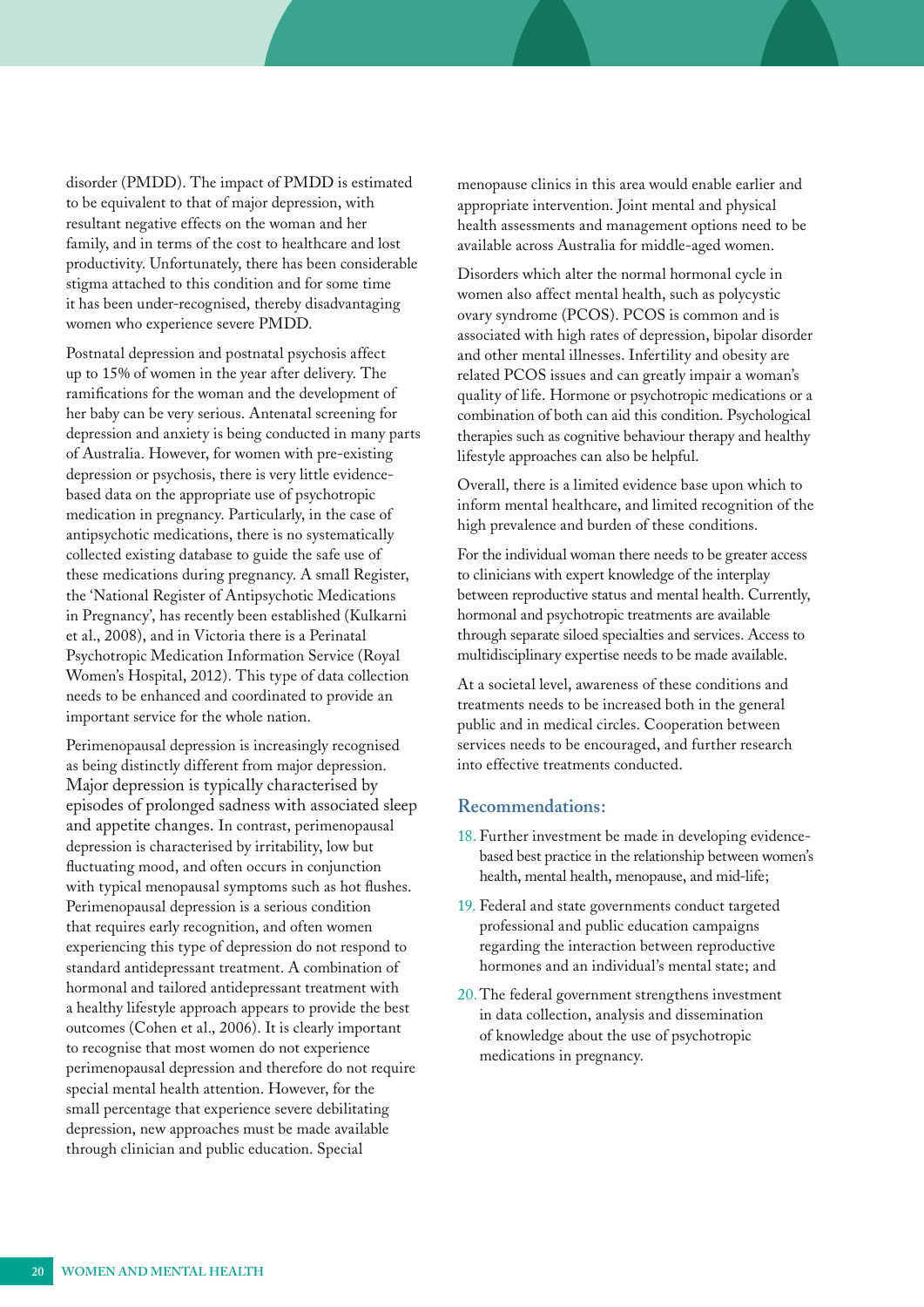<span id="page-19-0"></span>disorder (PMDD). The impact of PMDD is estimated to be equivalent to that of major depression, with resultant negative effects on the woman and her family, and in terms of the cost to healthcare and lost productivity. Unfortunately, there has been considerable stigma attached to this condition and for some time it has been under-recognised, thereby disadvantaging women who experience severe PMDD.

Postnatal depression and postnatal psychosis affect up to 15% of women in the year after delivery. The ramifications for the woman and the development of her baby can be very serious. Antenatal screening for depression and anxiety is being conducted in many parts of Australia. However, for women with pre-existing depression or psychosis, there is very little evidencebased data on the appropriate use of psychotropic medication in pregnancy. Particularly, in the case of antipsychotic medications, there is no systematically collected existing database to guide the safe use of these medications during pregnancy. A small Register, the 'National Register of Antipsychotic Medications in Pregnancy', has recently been established (Kulkarni et al., 2008), and in Victoria there is a Perinatal Psychotropic Medication Information Service (Royal Women's Hospital, 2012). This type of data collection needs to be enhanced and coordinated to provide an important service for the whole nation.

Perimenopausal depression is increasingly recognised as being distinctly different from major depression. Major depression is typically characterised by episodes of prolonged sadness with associated sleep and appetite changes. In contrast, perimenopausal depression is characterised by irritability, low but fluctuating mood, and often occurs in conjunction with typical menopausal symptoms such as hot flushes. Perimenopausal depression is a serious condition that requires early recognition, and often women experiencing this type of depression do not respond to standard antidepressant treatment. A combination of hormonal and tailored antidepressant treatment with a healthy lifestyle approach appears to provide the best outcomes (Cohen et al., 2006). It is clearly important to recognise that most women do not experience perimenopausal depression and therefore do not require special mental health attention. However, for the small percentage that experience severe debilitating depression, new approaches must be made available through clinician and public education. Special

menopause clinics in this area would enable earlier and appropriate intervention. Joint mental and physical health assessments and management options need to be available across Australia for middle-aged women.

Disorders which alter the normal hormonal cycle in women also affect mental health, such as polycystic ovary syndrome (PCOS). PCOS is common and is associated with high rates of depression, bipolar disorder and other mental illnesses. Infertility and obesity are related PCOS issues and can greatly impair a woman's quality of life. Hormone or psychotropic medications or a combination of both can aid this condition. Psychological therapies such as cognitive behaviour therapy and healthy lifestyle approaches can also be helpful.

Overall, there is a limited evidence base upon which to inform mental healthcare, and limited recognition of the high prevalence and burden of these conditions.

For the individual woman there needs to be greater access to clinicians with expert knowledge of the interplay between reproductive status and mental health. Currently, hormonal and psychotropic treatments are available through separate siloed specialties and services. Access to multidisciplinary expertise needs to be made available.

At a societal level, awareness of these conditions and treatments needs to be increased both in the general public and in medical circles. Cooperation between services needs to be encouraged, and further research into effective treatments conducted.

#### **Recommendations:**

- 18. Further investment be made in developing evidencebased best practice in the relationship between women's health, mental health, menopause, and mid-life;
- 19. Federal and state governments conduct targeted professional and public education campaigns regarding the interaction between reproductive hormones and an individual's mental state; and
- 20.The federal government strengthens investment in data collection, analysis and dissemination of knowledge about the use of psychotropic medications in pregnancy.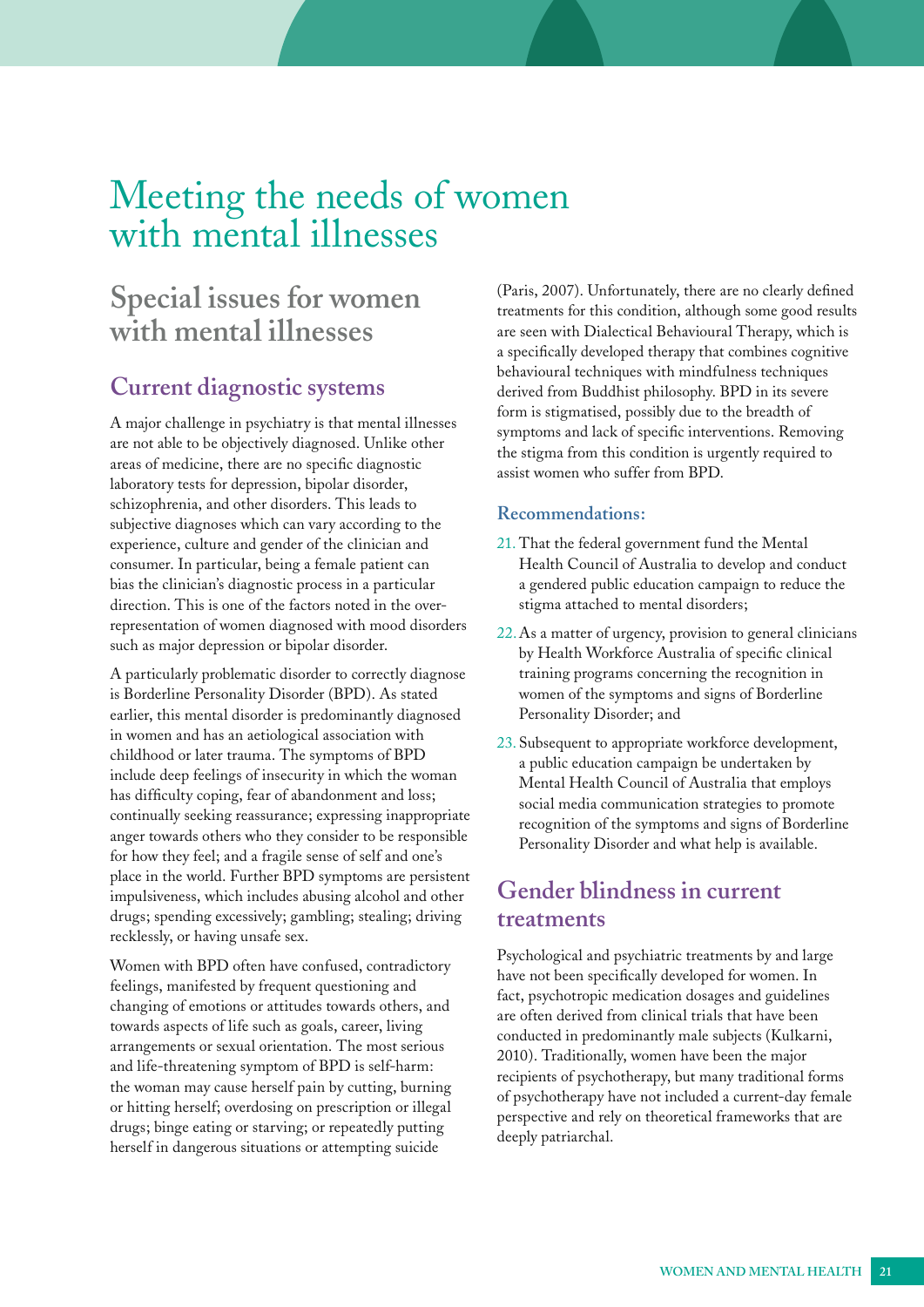## <span id="page-20-0"></span>Meeting the needs of women with mental illnesses

## **Special issues for women with mental illnesses**

#### **Current diagnostic systems**

A major challenge in psychiatry is that mental illnesses are not able to be objectively diagnosed. Unlike other areas of medicine, there are no specific diagnostic laboratory tests for depression, bipolar disorder, schizophrenia, and other disorders. This leads to subjective diagnoses which can vary according to the experience, culture and gender of the clinician and consumer. In particular, being a female patient can bias the clinician's diagnostic process in a particular direction. This is one of the factors noted in the overrepresentation of women diagnosed with mood disorders such as major depression or bipolar disorder.

A particularly problematic disorder to correctly diagnose is Borderline Personality Disorder (BPD). As stated earlier, this mental disorder is predominantly diagnosed in women and has an aetiological association with childhood or later trauma. The symptoms of BPD include deep feelings of insecurity in which the woman has difficulty coping, fear of abandonment and loss; continually seeking reassurance; expressing inappropriate anger towards others who they consider to be responsible for how they feel; and a fragile sense of self and one's place in the world. Further BPD symptoms are persistent impulsiveness, which includes abusing alcohol and other drugs; spending excessively; gambling; stealing; driving recklessly, or having unsafe sex.

Women with BPD often have confused, contradictory feelings, manifested by frequent questioning and changing of emotions or attitudes towards others, and towards aspects of life such as goals, career, living arrangements or sexual orientation. The most serious and life-threatening symptom of BPD is self-harm: the woman may cause herself pain by cutting, burning or hitting herself; overdosing on prescription or illegal drugs; binge eating or starving; or repeatedly putting herself in dangerous situations or attempting suicide

(Paris, 2007). Unfortunately, there are no clearly defined treatments for this condition, although some good results are seen with Dialectical Behavioural Therapy, which is a specifically developed therapy that combines cognitive behavioural techniques with mindfulness techniques derived from Buddhist philosophy. BPD in its severe form is stigmatised, possibly due to the breadth of symptoms and lack of specific interventions. Removing the stigma from this condition is urgently required to assist women who suffer from BPD.

#### **Recommendations:**

- 21. That the federal government fund the Mental Health Council of Australia to develop and conduct a gendered public education campaign to reduce the stigma attached to mental disorders;
- 22.As a matter of urgency, provision to general clinicians by Health Workforce Australia of specific clinical training programs concerning the recognition in women of the symptoms and signs of Borderline Personality Disorder; and
- 23. Subsequent to appropriate workforce development, a public education campaign be undertaken by Mental Health Council of Australia that employs social media communication strategies to promote recognition of the symptoms and signs of Borderline Personality Disorder and what help is available.

#### **Gender blindness in current treatments**

Psychological and psychiatric treatments by and large have not been specifically developed for women. In fact, psychotropic medication dosages and guidelines are often derived from clinical trials that have been conducted in predominantly male subjects (Kulkarni, 2010). Traditionally, women have been the major recipients of psychotherapy, but many traditional forms of psychotherapy have not included a current-day female perspective and rely on theoretical frameworks that are deeply patriarchal.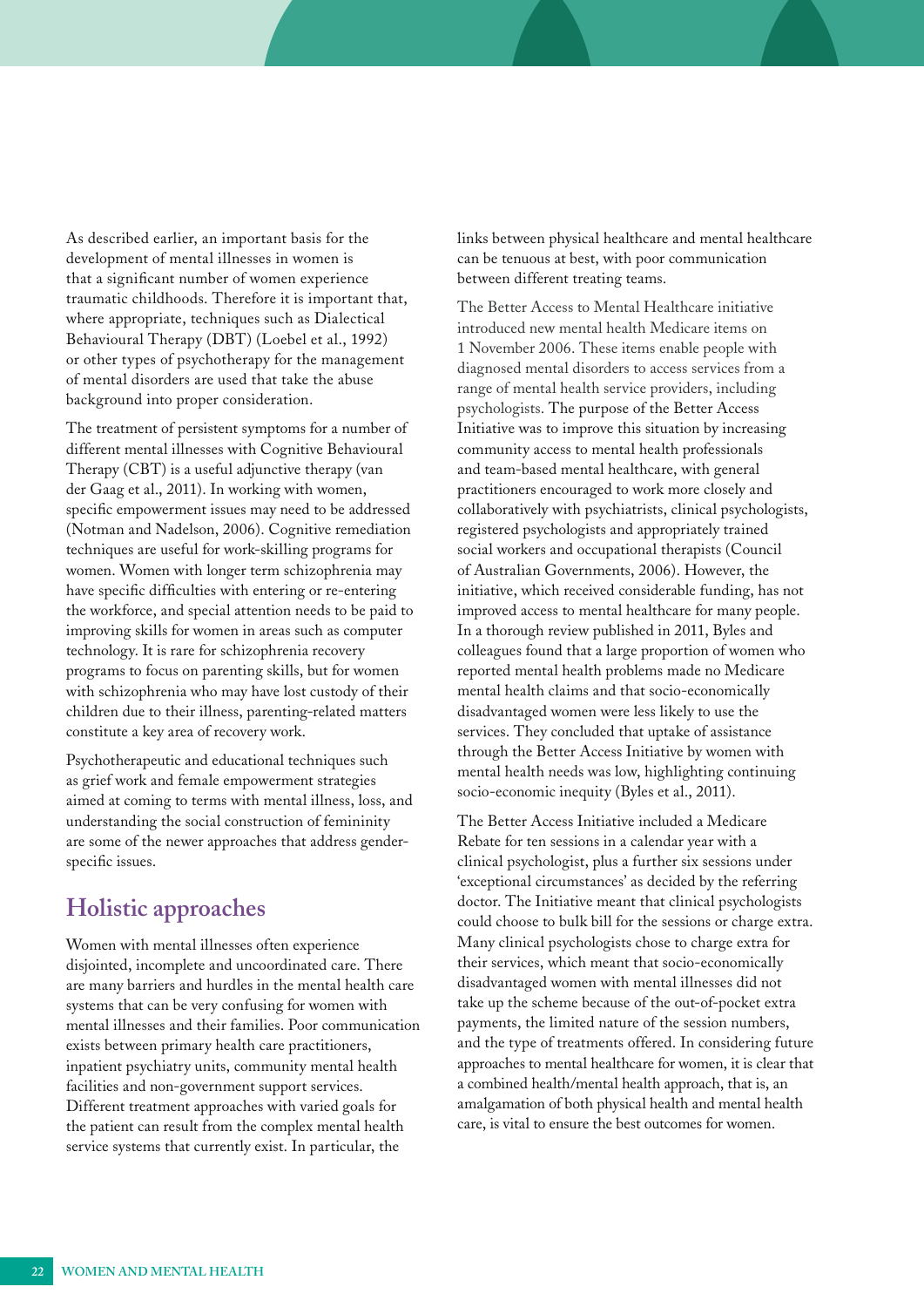<span id="page-21-0"></span>As described earlier, an important basis for the development of mental illnesses in women is that a significant number of women experience traumatic childhoods. Therefore it is important that, where appropriate, techniques such as Dialectical Behavioural Therapy (DBT) (Loebel et al., 1992) or other types of psychotherapy for the management of mental disorders are used that take the abuse background into proper consideration.

The treatment of persistent symptoms for a number of different mental illnesses with Cognitive Behavioural Therapy (CBT) is a useful adjunctive therapy (van der Gaag et al., 2011). In working with women, specific empowerment issues may need to be addressed (Notman and Nadelson, 2006). Cognitive remediation techniques are useful for work-skilling programs for women. Women with longer term schizophrenia may have specific difficulties with entering or re-entering the workforce, and special attention needs to be paid to improving skills for women in areas such as computer technology. It is rare for schizophrenia recovery programs to focus on parenting skills, but for women with schizophrenia who may have lost custody of their children due to their illness, parenting-related matters constitute a key area of recovery work.

Psychotherapeutic and educational techniques such as grief work and female empowerment strategies aimed at coming to terms with mental illness, loss, and understanding the social construction of femininity are some of the newer approaches that address genderspecific issues.

#### **Holistic approaches**

Women with mental illnesses often experience disjointed, incomplete and uncoordinated care. There are many barriers and hurdles in the mental health care systems that can be very confusing for women with mental illnesses and their families. Poor communication exists between primary health care practitioners, inpatient psychiatry units, community mental health facilities and non-government support services. Different treatment approaches with varied goals for the patient can result from the complex mental health service systems that currently exist. In particular, the

links between physical healthcare and mental healthcare can be tenuous at best, with poor communication between different treating teams.

The Better Access to Mental Healthcare initiative introduced new mental health Medicare items on 1 November 2006. These items enable people with diagnosed mental disorders to access services from a range of mental health service providers, including psychologists. The purpose of the Better Access Initiative was to improve this situation by increasing community access to mental health professionals and team-based mental healthcare, with general practitioners encouraged to work more closely and collaboratively with psychiatrists, clinical psychologists, registered psychologists and appropriately trained social workers and occupational therapists (Council of Australian Governments, 2006). However, the initiative, which received considerable funding, has not improved access to mental healthcare for many people. In a thorough review published in 2011, Byles and colleagues found that a large proportion of women who reported mental health problems made no Medicare mental health claims and that socio-economically disadvantaged women were less likely to use the services. They concluded that uptake of assistance through the Better Access Initiative by women with mental health needs was low, highlighting continuing socio-economic inequity (Byles et al., 2011).

The Better Access Initiative included a Medicare Rebate for ten sessions in a calendar year with a clinical psychologist, plus a further six sessions under 'exceptional circumstances' as decided by the referring doctor. The Initiative meant that clinical psychologists could choose to bulk bill for the sessions or charge extra. Many clinical psychologists chose to charge extra for their services, which meant that socio-economically disadvantaged women with mental illnesses did not take up the scheme because of the out-of-pocket extra payments, the limited nature of the session numbers, and the type of treatments offered. In considering future approaches to mental healthcare for women, it is clear that a combined health/mental health approach, that is, an amalgamation of both physical health and mental health care, is vital to ensure the best outcomes for women.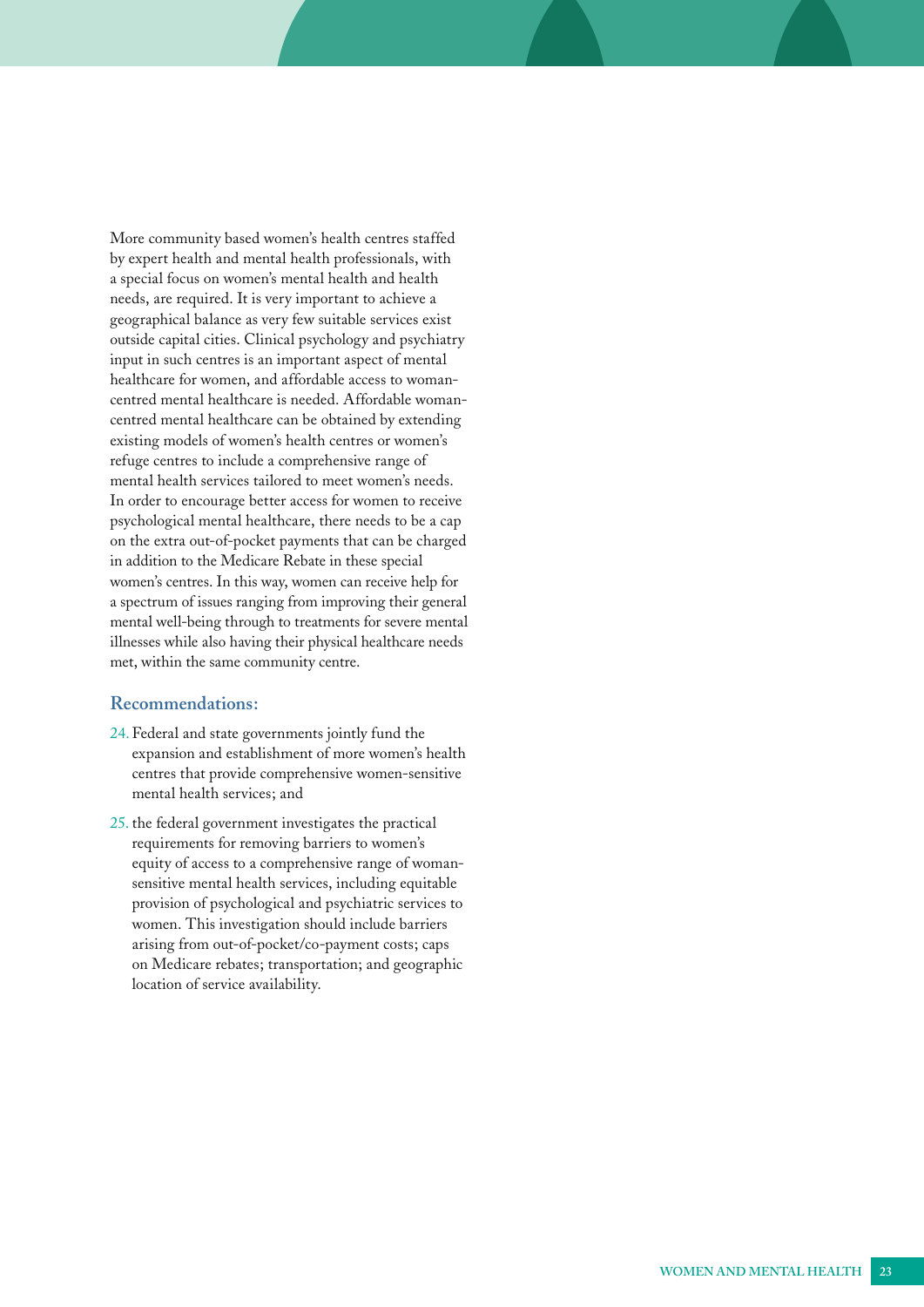<span id="page-22-0"></span>More community based women's health centres staffed by expert health and mental health professionals, with a special focus on women's mental health and health needs, are required. It is very important to achieve a geographical balance as very few suitable services exist outside capital cities. Clinical psychology and psychiatry input in such centres is an important aspect of mental healthcare for women, and affordable access to womancentred mental healthcare is needed. Affordable womancentred mental healthcare can be obtained by extending existing models of women's health centres or women's refuge centres to include a comprehensive range of mental health services tailored to meet women's needs. In order to encourage better access for women to receive psychological mental healthcare, there needs to be a cap on the extra out-of-pocket payments that can be charged in addition to the Medicare Rebate in these special women's centres. In this way, women can receive help for a spectrum of issues ranging from improving their general mental well-being through to treatments for severe mental illnesses while also having their physical healthcare needs met, within the same community centre.

#### **Recommendations:**

- 24.Federal and state governments jointly fund the expansion and establishment of more women's health centres that provide comprehensive women-sensitive mental health services; and
- 25. the federal government investigates the practical requirements for removing barriers to women's equity of access to a comprehensive range of womansensitive mental health services, including equitable provision of psychological and psychiatric services to women. This investigation should include barriers arising from out-of-pocket/co-payment costs; caps on Medicare rebates; transportation; and geographic location of service availability.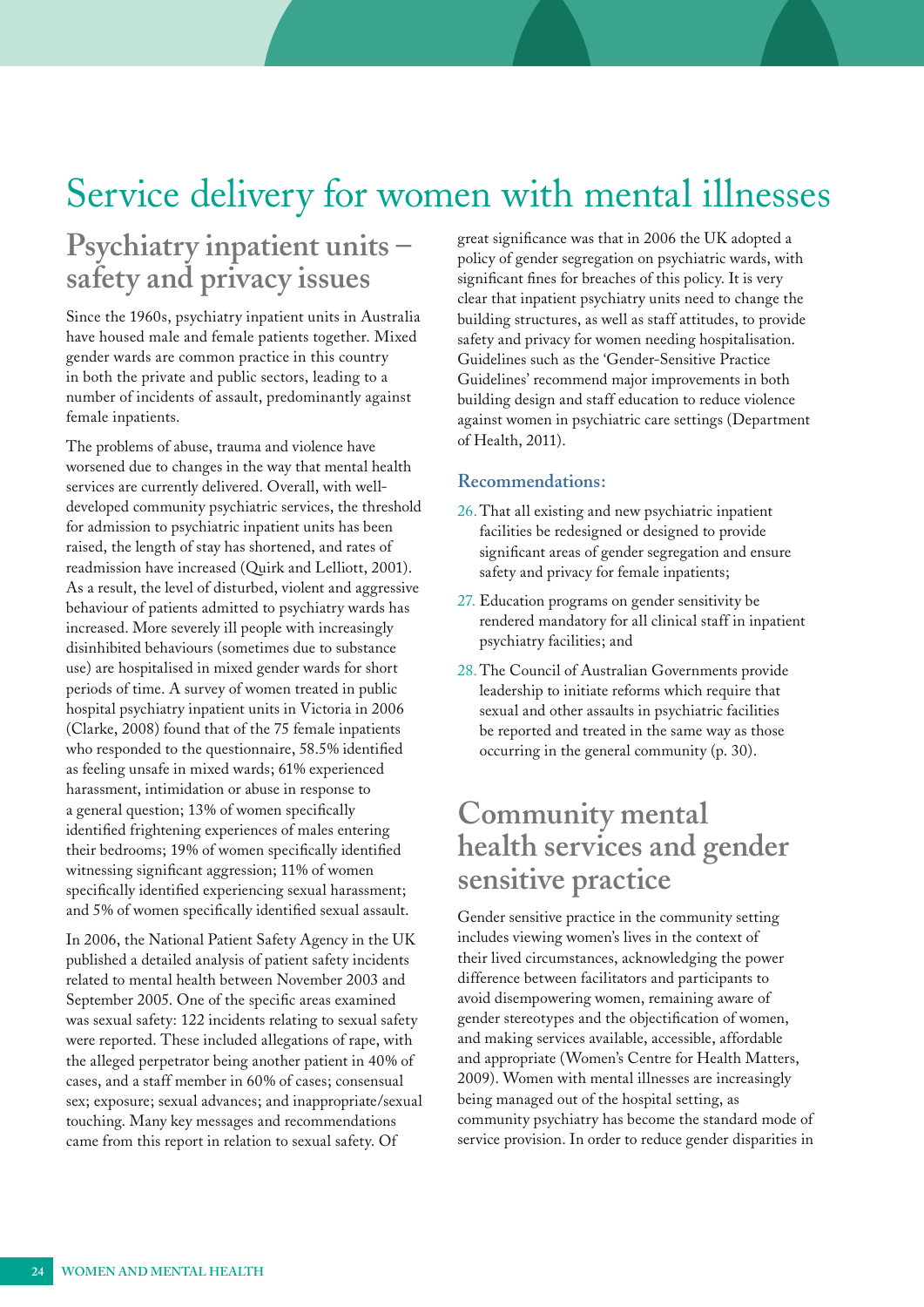## <span id="page-23-0"></span>Service delivery for women with mental illnesses

## **Psychiatry inpatient units – safety and privacy issues**

Since the 1960s, psychiatry inpatient units in Australia have housed male and female patients together. Mixed gender wards are common practice in this country in both the private and public sectors, leading to a number of incidents of assault, predominantly against female inpatients.

The problems of abuse, trauma and violence have worsened due to changes in the way that mental health services are currently delivered. Overall, with welldeveloped community psychiatric services, the threshold for admission to psychiatric inpatient units has been raised, the length of stay has shortened, and rates of readmission have increased (Quirk and Lelliott, 2001). As a result, the level of disturbed, violent and aggressive behaviour of patients admitted to psychiatry wards has increased. More severely ill people with increasingly disinhibited behaviours (sometimes due to substance use) are hospitalised in mixed gender wards for short periods of time. A survey of women treated in public hospital psychiatry inpatient units in Victoria in 2006 (Clarke, 2008) found that of the 75 female inpatients who responded to the questionnaire, 58.5% identified as feeling unsafe in mixed wards; 61% experienced harassment, intimidation or abuse in response to a general question; 13% of women specifically identified frightening experiences of males entering their bedrooms; 19% of women specifically identified witnessing significant aggression; 11% of women specifically identified experiencing sexual harassment; and 5% of women specifically identified sexual assault.

In 2006, the National Patient Safety Agency in the UK published a detailed analysis of patient safety incidents related to mental health between November 2003 and September 2005. One of the specific areas examined was sexual safety: 122 incidents relating to sexual safety were reported. These included allegations of rape, with the alleged perpetrator being another patient in 40% of cases, and a staff member in 60% of cases; consensual sex; exposure; sexual advances; and inappropriate/sexual touching. Many key messages and recommendations came from this report in relation to sexual safety. Of

great significance was that in 2006 the UK adopted a policy of gender segregation on psychiatric wards, with significant fines for breaches of this policy. It is very clear that inpatient psychiatry units need to change the building structures, as well as staff attitudes, to provide safety and privacy for women needing hospitalisation. Guidelines such as the 'Gender-Sensitive Practice Guidelines' recommend major improvements in both building design and staff education to reduce violence against women in psychiatric care settings (Department of Health, 2011).

#### **Recommendations:**

- 26.That all existing and new psychiatric inpatient facilities be redesigned or designed to provide significant areas of gender segregation and ensure safety and privacy for female inpatients;
- 27. Education programs on gender sensitivity be rendered mandatory for all clinical staff in inpatient psychiatry facilities; and
- 28.The Council of Australian Governments provide leadership to initiate reforms which require that sexual and other assaults in psychiatric facilities be reported and treated in the same way as those occurring in the general community (p. 30).

## **Community mental health services and gender sensitive practice**

Gender sensitive practice in the community setting includes viewing women's lives in the context of their lived circumstances, acknowledging the power difference between facilitators and participants to avoid disempowering women, remaining aware of gender stereotypes and the objectification of women, and making services available, accessible, affordable and appropriate (Women's Centre for Health Matters, 2009). Women with mental illnesses are increasingly being managed out of the hospital setting, as community psychiatry has become the standard mode of service provision. In order to reduce gender disparities in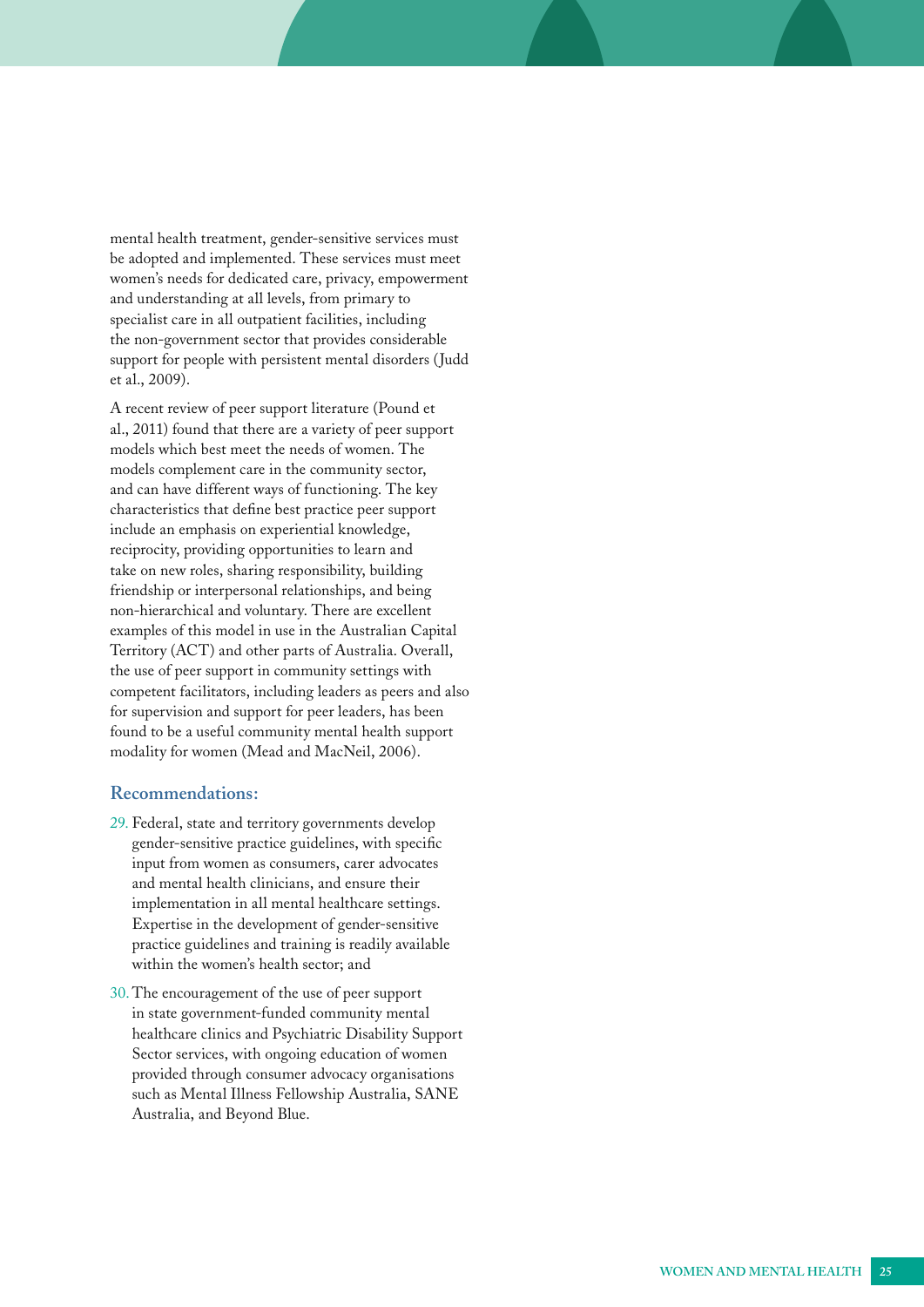<span id="page-24-0"></span>mental health treatment, gender-sensitive services must be adopted and implemented. These services must meet women's needs for dedicated care, privacy, empowerment and understanding at all levels, from primary to specialist care in all outpatient facilities, including the non-government sector that provides considerable support for people with persistent mental disorders (Judd et al., 2009).

A recent review of peer support literature (Pound et al., 2011) found that there are a variety of peer support models which best meet the needs of women. The models complement care in the community sector, and can have different ways of functioning. The key characteristics that define best practice peer support include an emphasis on experiential knowledge, reciprocity, providing opportunities to learn and take on new roles, sharing responsibility, building friendship or interpersonal relationships, and being non-hierarchical and voluntary. There are excellent examples of this model in use in the Australian Capital Territory (ACT) and other parts of Australia. Overall, the use of peer support in community settings with competent facilitators, including leaders as peers and also for supervision and support for peer leaders, has been found to be a useful community mental health support modality for women (Mead and MacNeil, 2006).

#### **Recommendations:**

- 29. Federal, state and territory governments develop gender-sensitive practice guidelines, with specific input from women as consumers, carer advocates and mental health clinicians, and ensure their implementation in all mental healthcare settings. Expertise in the development of gender-sensitive practice guidelines and training is readily available within the women's health sector; and
- 30. The encouragement of the use of peer support in state government-funded community mental healthcare clinics and Psychiatric Disability Support Sector services, with ongoing education of women provided through consumer advocacy organisations such as Mental Illness Fellowship Australia, SANE Australia, and Beyond Blue.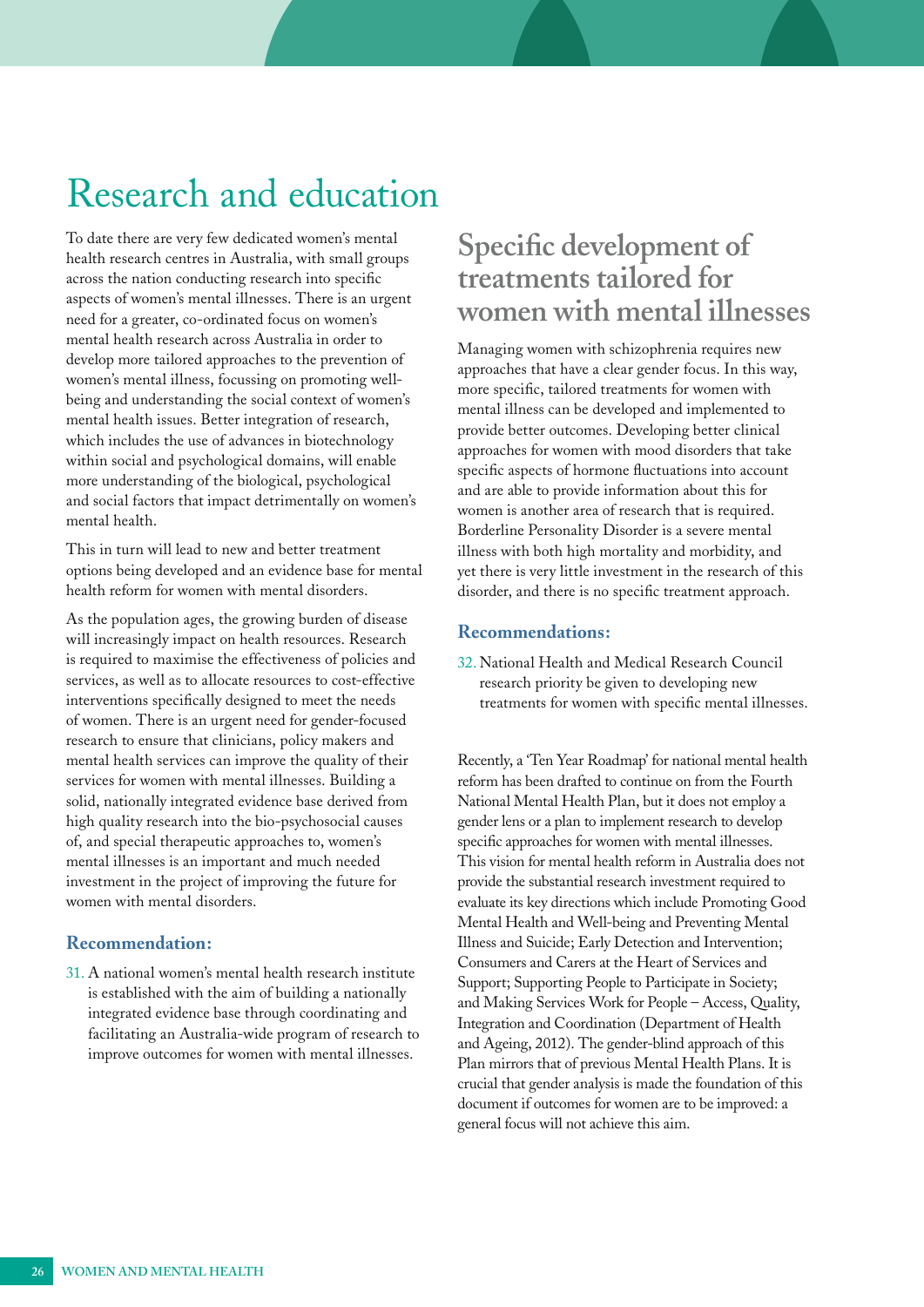## <span id="page-25-0"></span>Research and education

To date there are very few dedicated women's mental health research centres in Australia, with small groups across the nation conducting research into specific aspects of women's mental illnesses. There is an urgent need for a greater, co-ordinated focus on women's mental health research across Australia in order to develop more tailored approaches to the prevention of women's mental illness, focussing on promoting wellbeing and understanding the social context of women's mental health issues. Better integration of research, which includes the use of advances in biotechnology within social and psychological domains, will enable more understanding of the biological, psychological and social factors that impact detrimentally on women's mental health.

This in turn will lead to new and better treatment options being developed and an evidence base for mental health reform for women with mental disorders.

As the population ages, the growing burden of disease will increasingly impact on health resources. Research is required to maximise the effectiveness of policies and services, as well as to allocate resources to cost-effective interventions specifically designed to meet the needs of women. There is an urgent need for gender-focused research to ensure that clinicians, policy makers and mental health services can improve the quality of their services for women with mental illnesses. Building a solid, nationally integrated evidence base derived from high quality research into the bio-psychosocial causes of, and special therapeutic approaches to, women's mental illnesses is an important and much needed investment in the project of improving the future for women with mental disorders.

#### **Recommendation:**

31. A national women's mental health research institute is established with the aim of building a nationally integrated evidence base through coordinating and facilitating an Australia-wide program of research to improve outcomes for women with mental illnesses.

## **Specific development of treatments tailored for women with mental illnesses**

Managing women with schizophrenia requires new approaches that have a clear gender focus. In this way, more specific, tailored treatments for women with mental illness can be developed and implemented to provide better outcomes. Developing better clinical approaches for women with mood disorders that take specific aspects of hormone fluctuations into account and are able to provide information about this for women is another area of research that is required. Borderline Personality Disorder is a severe mental illness with both high mortality and morbidity, and yet there is very little investment in the research of this disorder, and there is no specific treatment approach.

#### **Recommendations:**

32. National Health and Medical Research Council research priority be given to developing new treatments for women with specific mental illnesses.

Recently, a 'Ten Year Roadmap' for national mental health reform has been drafted to continue on from the Fourth National Mental Health Plan, but it does not employ a gender lens or a plan to implement research to develop specific approaches for women with mental illnesses. This vision for mental health reform in Australia does not provide the substantial research investment required to evaluate its key directions which include Promoting Good Mental Health and Well-being and Preventing Mental Illness and Suicide; Early Detection and Intervention; Consumers and Carers at the Heart of Services and Support; Supporting People to Participate in Society; and Making Services Work for People – Access, Quality, Integration and Coordination (Department of Health and Ageing, 2012). The gender-blind approach of this Plan mirrors that of previous Mental Health Plans. It is crucial that gender analysis is made the foundation of this document if outcomes for women are to be improved: a general focus will not achieve this aim.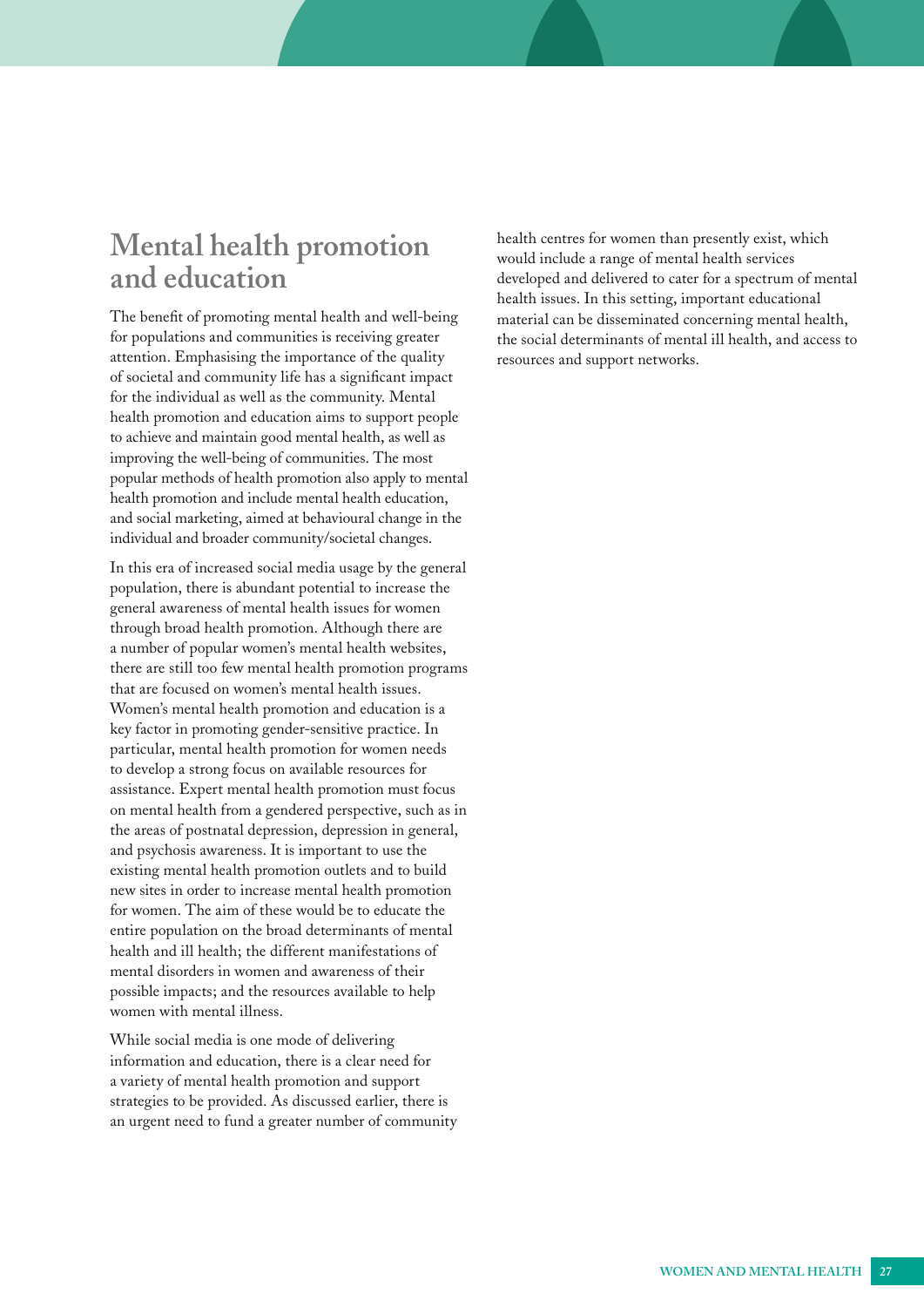## <span id="page-26-0"></span>**Mental health promotion and education**

The benefit of promoting mental health and well-being for populations and communities is receiving greater attention. Emphasising the importance of the quality of societal and community life has a significant impact for the individual as well as the community. Mental health promotion and education aims to support people to achieve and maintain good mental health, as well as improving the well-being of communities. The most popular methods of health promotion also apply to mental health promotion and include mental health education, and social marketing, aimed at behavioural change in the individual and broader community/societal changes.

In this era of increased social media usage by the general population, there is abundant potential to increase the general awareness of mental health issues for women through broad health promotion. Although there are a number of popular women's mental health websites, there are still too few mental health promotion programs that are focused on women's mental health issues. Women's mental health promotion and education is a key factor in promoting gender-sensitive practice. In particular, mental health promotion for women needs to develop a strong focus on available resources for assistance. Expert mental health promotion must focus on mental health from a gendered perspective, such as in the areas of postnatal depression, depression in general, and psychosis awareness. It is important to use the existing mental health promotion outlets and to build new sites in order to increase mental health promotion for women. The aim of these would be to educate the entire population on the broad determinants of mental health and ill health; the different manifestations of mental disorders in women and awareness of their possible impacts; and the resources available to help women with mental illness.

While social media is one mode of delivering information and education, there is a clear need for a variety of mental health promotion and support strategies to be provided. As discussed earlier, there is an urgent need to fund a greater number of community health centres for women than presently exist, which would include a range of mental health services developed and delivered to cater for a spectrum of mental health issues. In this setting, important educational material can be disseminated concerning mental health, the social determinants of mental ill health, and access to resources and support networks.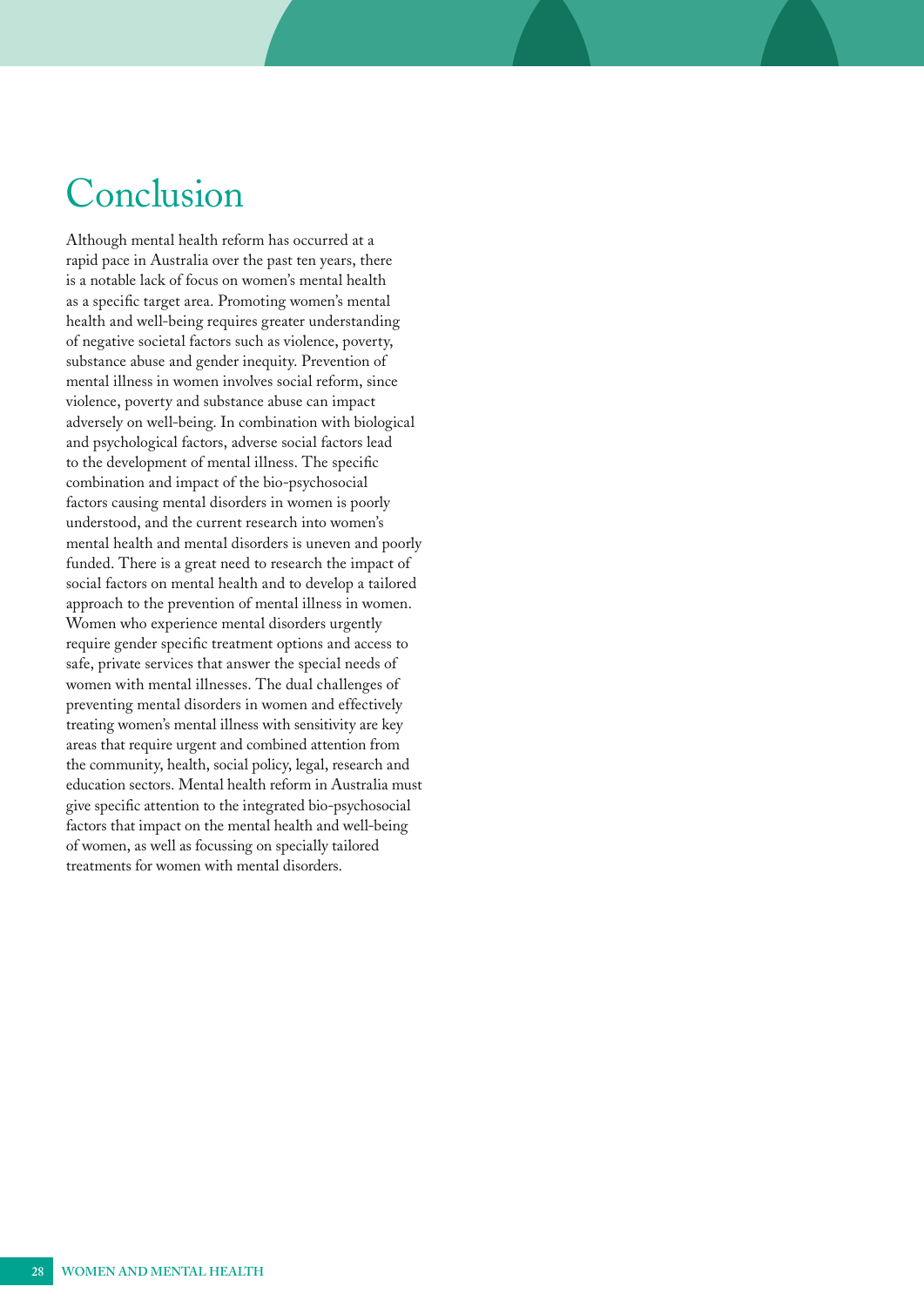## <span id="page-27-0"></span>Conclusion

Although mental health reform has occurred at a rapid pace in Australia over the past ten years, there is a notable lack of focus on women's mental health as a specific target area. Promoting women's mental health and well-being requires greater understanding of negative societal factors such as violence, poverty, substance abuse and gender inequity. Prevention of mental illness in women involves social reform, since violence, poverty and substance abuse can impact adversely on well-being. In combination with biological and psychological factors, adverse social factors lead to the development of mental illness. The specific combination and impact of the bio-psychosocial factors causing mental disorders in women is poorly understood, and the current research into women's mental health and mental disorders is uneven and poorly funded. There is a great need to research the impact of social factors on mental health and to develop a tailored approach to the prevention of mental illness in women. Women who experience mental disorders urgently require gender specific treatment options and access to safe, private services that answer the special needs of women with mental illnesses. The dual challenges of preventing mental disorders in women and effectively treating women's mental illness with sensitivity are key areas that require urgent and combined attention from the community, health, social policy, legal, research and education sectors. Mental health reform in Australia must give specific attention to the integrated bio-psychosocial factors that impact on the mental health and well-being of women, as well as focussing on specially tailored treatments for women with mental disorders.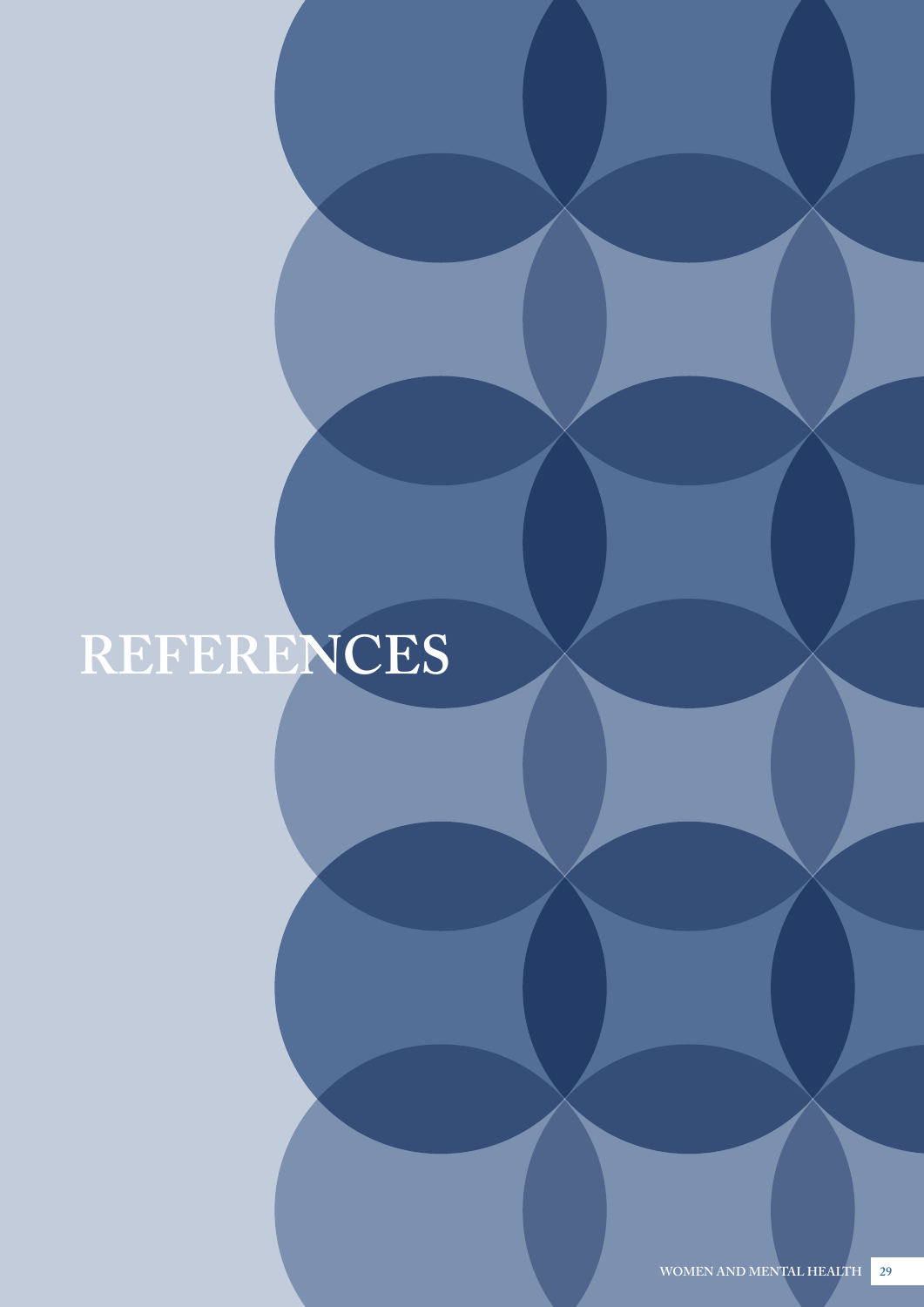# <span id="page-28-0"></span>**REFERENCES**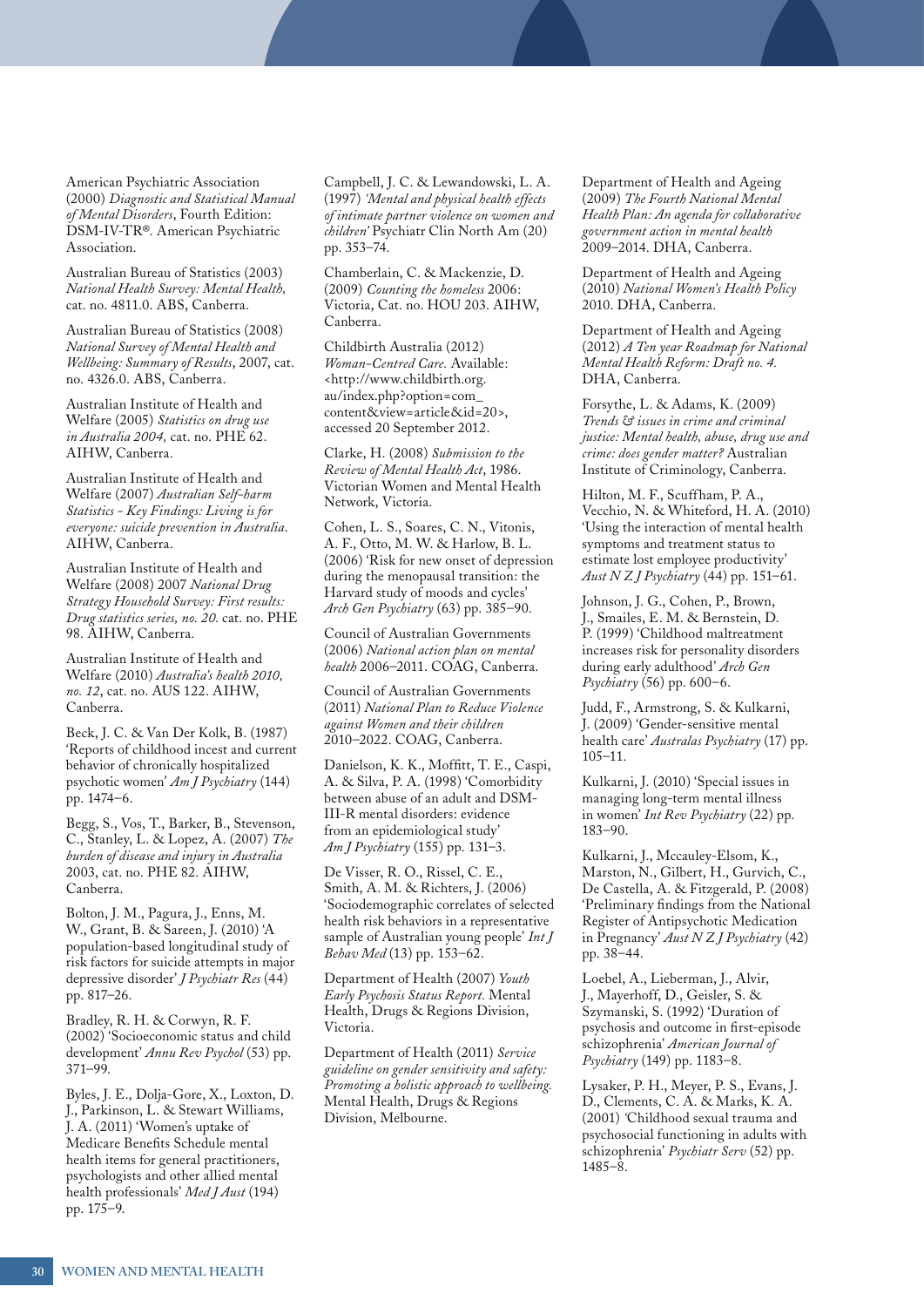American Psychiatric Association (2000) *Diagnostic and Statistical Manual of Mental Disorders*, Fourth Edition: DSM-IV-TR®. American Psychiatric Association.

Australian Bureau of Statistics (2003) *National Health Survey: Mental Health,* cat. no. 4811.0. ABS, Canberra.

Australian Bureau of Statistics (2008) *National Survey of Mental Health and Wellbeing: Summary of Results*, 2007, cat. no. 4326.0. ABS, Canberra.

Australian Institute of Health and Welfare (2005) *Statistics on drug use in Australia 2004,* cat. no. PHE 62. AIHW, Canberra.

Australian Institute of Health and Welfare (2007) *Australian Self-harm Statistics - Key Findings: Living is for everyone: suicide prevention in Australia*. AIHW, Canberra.

Australian Institute of Health and Welfare (2008) 2007 *National Drug Strategy Household Survey: First results: Drug statistics series, no. 20.* cat. no. PHE 98. AIHW, Canberra.

Australian Institute of Health and Welfare (2010) *Australia's health 2010, no. 12*, cat. no. AUS 122. AIHW, Canberra.

Beck, J. C. & Van Der Kolk, B. (1987) 'Reports of childhood incest and current behavior of chronically hospitalized psychotic women' *Am J Psychiatry* (144) pp. 1474–6.

Begg, S., Vos, T., Barker, B., Stevenson, C., Stanley, L. & Lopez, A. (2007) *The burden of disease and injury in Australia* 2003, cat. no. PHE 82. AIHW, Canberra.

Bolton, J. M., Pagura, J., Enns, M. W., Grant, B. & Sareen, J. (2010) 'A population-based longitudinal study of risk factors for suicide attempts in major depressive disorder' *J Psychiatr Res* (44) pp. 817–26.

Bradley, R. H. & Corwyn, R. F. (2002) 'Socioeconomic status and child development' *Annu Rev Psychol* (53) pp. 371–99.

Byles, J. E., Dolja-Gore, X., Loxton, D. J., Parkinson, L. & Stewart Williams, J. A. (2011) 'Women's uptake of Medicare Benefits Schedule mental health items for general practitioners, psychologists and other allied mental health professionals' *Med J Aust* (194) pp. 175–9.

Campbell, J. C. & Lewandowski, L. A. (1997) *'Mental and physical health effects of intimate partner violence on women and children'* Psychiatr Clin North Am (20) pp. 353–74.

Chamberlain, C. & Mackenzie, D. (2009) *Counting the homeless* 2006: Victoria, Cat. no. HOU 203. AIHW, Canberra.

Childbirth Australia (2012) *Woman-Centred Care.* Available: [<http://www.childbirth.org.](http://www.childbirth.org.au/index.php?option=com_content&view=article&id=20) [au/index.php?option=com\\_](http://www.childbirth.org.au/index.php?option=com_content&view=article&id=20) [content&view=article&id=20>](http://www.childbirth.org.au/index.php?option=com_content&view=article&id=20), accessed 20 September 2012.

Clarke, H. (2008) *Submission to the Review of Mental Health Act*, 1986. Victorian Women and Mental Health Network, Victoria.

Cohen, L. S., Soares, C. N., Vitonis, A. F., Otto, M. W. & Harlow, B. L. (2006) 'Risk for new onset of depression during the menopausal transition: the Harvard study of moods and cycles' *Arch Gen Psychiatry* (63) pp. 385–90.

Council of Australian Governments (2006) *National action plan on mental health* 2006–2011. COAG, Canberra.

Council of Australian Governments (2011) *National Plan to Reduce Violence against Women and their children* 2010–2022. COAG, Canberra.

Danielson, K. K., Moffitt, T. E., Caspi, A. & Silva, P. A. (1998) 'Comorbidity between abuse of an adult and DSM-III-R mental disorders: evidence from an epidemiological study' *Am J Psychiatry* (155) pp. 131–3.

De Visser, R. O., Rissel, C. E., Smith, A. M. & Richters, J. (2006) 'Sociodemographic correlates of selected health risk behaviors in a representative sample of Australian young people' *Int J Behav Med* (13) pp. 153–62.

Department of Health (2007) *Youth Early Psychosis Status Report.* Mental Health, Drugs & Regions Division, Victoria.

Department of Health (2011) *Service guideline on gender sensitivity and safety: Promoting a holistic approach to wellbeing.*  Mental Health, Drugs & Regions Division, Melbourne.

Department of Health and Ageing (2009) *The Fourth National Mental Health Plan: An agenda for collaborative government action in mental health*  2009–2014. DHA, Canberra.

Department of Health and Ageing (2010) *National Women's Health Policy*  2010. DHA, Canberra.

Department of Health and Ageing (2012) *A Ten year Roadmap for National Mental Health Reform: Draft no. 4.* DHA, Canberra.

Forsythe, L. & Adams, K. (2009) *Trends & issues in crime and criminal justice: Mental health, abuse, drug use and crime: does gender matter?* Australian Institute of Criminology, Canberra.

Hilton, M. F., Scuffham, P. A., Vecchio, N. & Whiteford, H. A. (2010) 'Using the interaction of mental health symptoms and treatment status to estimate lost employee productivity' *Aust N Z J Psychiatry* (44) pp. 151–61.

Johnson, J. G., Cohen, P., Brown, J., Smailes, E. M. & Bernstein, D. P. (1999) 'Childhood maltreatment increases risk for personality disorders during early adulthood' *Arch Gen Psychiatry* (56) pp. 600–6.

Judd, F., Armstrong, S. & Kulkarni, J. (2009) 'Gender-sensitive mental health care' *Australas Psychiatry* (17) pp. 105–11.

Kulkarni, J. (2010) 'Special issues in managing long-term mental illness in women' *Int Rev Psychiatry* (22) pp. 183–90.

Kulkarni, J., Mccauley-Elsom, K., Marston, N., Gilbert, H., Gurvich, C., De Castella, A. & Fitzgerald, P. (2008) 'Preliminary findings from the National Register of Antipsychotic Medication in Pregnancy' *Aust N Z J Psychiatry* (42) pp. 38–44.

Loebel, A., Lieberman, J., Alvir, J., Mayerhoff, D., Geisler, S. & Szymanski, S. (1992) 'Duration of psychosis and outcome in first-episode schizophrenia' *American Journal of Psychiatry* (149) pp. 1183–8.

Lysaker, P. H., Meyer, P. S., Evans, J. D., Clements, C. A. & Marks, K. A. (2001) *'*Childhood sexual trauma and psychosocial functioning in adults with schizophrenia' *Psychiatr Serv* (52) pp. 1485–8.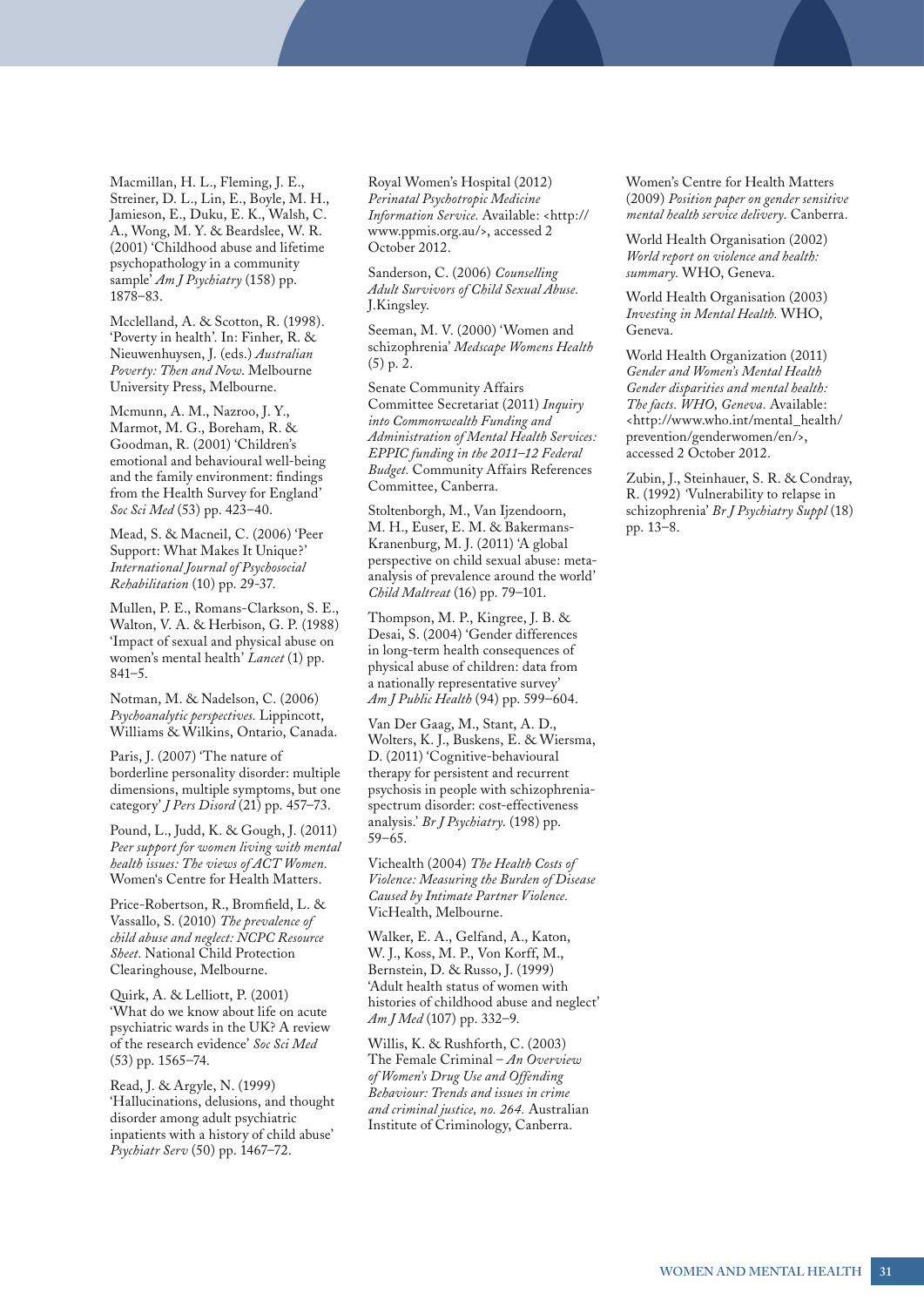Macmillan, H. L., Fleming, J. E., Streiner, D. L., Lin, E., Boyle, M. H., Jamieson, E., Duku, E. K., Walsh, C. A., Wong, M. Y. & Beardslee, W. R. (2001) 'Childhood abuse and lifetime psychopathology in a community sample' *Am J Psychiatry* (158) pp. 1878–83.

Mcclelland, A. & Scotton, R. (1998). 'Poverty in health'. In: Finher, R. & Nieuwenhuysen, J. (eds.) *Australian Poverty: Then and Now*. Melbourne University Press, Melbourne.

Mcmunn, A. M., Nazroo, J. Y., Marmot, M. G., Boreham, R. & Goodman, R. (2001) 'Children's emotional and behavioural well-being and the family environment: findings from the Health Survey for England' *Soc Sci Med* (53) pp. 423–40.

Mead, S. & Macneil, C. (2006) 'Peer Support: What Makes It Unique?' *International Journal of Psychosocial Rehabilitation* (10) pp. 29-37.

Mullen, P. E., Romans-Clarkson, S. E., Walton, V. A. & Herbison, G. P. (1988) 'Impact of sexual and physical abuse on women's mental health' *Lancet* (1) pp. 841–5.

Notman, M. & Nadelson, C. (2006) *Psychoanalytic perspectives.* Lippincott, Williams & Wilkins, Ontario, Canada.

Paris, J. (2007) 'The nature of borderline personality disorder: multiple dimensions, multiple symptoms, but one category' *J Pers Disord* (21) pp. 457–73.

Pound, L., Judd, K. & Gough, J. (2011) *Peer support for women living with mental health issues: The views of ACT Women.*  Women's Centre for Health Matters.

Price-Robertson, R., Bromfield, L. & Vassallo, S. (2010) *The prevalence of child abuse and neglect: NCPC Resource Sheet.* National Child Protection Clearinghouse, Melbourne.

Quirk, A. & Lelliott, P. (2001) 'What do we know about life on acute psychiatric wards in the UK? A review of the research evidence' *Soc Sci Med* (53) pp. 1565–74.

Read, J. & Argyle, N. (1999) 'Hallucinations, delusions, and thought disorder among adult psychiatric inpatients with a history of child abuse' *Psychiatr Serv* (50) pp. 1467–72.

Royal Women's Hospital (2012) *Perinatal Psychotropic Medicine Information Service.* Available: <[http://](http://www.ppmis.org.au/) [www.ppmis.org.au/](http://www.ppmis.org.au/)>, accessed 2 October 2012.

Sanderson, C. (2006) *Counselling Adult Survivors of Child Sexual Abuse.*  J.Kingsley.

Seeman, M. V. (2000) 'Women and schizophrenia' *Medscape Womens Health* (5) p. 2.

Senate Community Affairs Committee Secretariat (2011) *Inquiry into Commonwealth Funding and Administration of Mental Health Services: EPPIC funding in the 2011–12 Federal Budget.* Community Affairs References Committee, Canberra.

Stoltenborgh, M., Van Ijzendoorn, M. H., Euser, E. M. & Bakermans-Kranenburg, M. J. (2011) 'A global perspective on child sexual abuse: metaanalysis of prevalence around the world' *Child Maltreat* (16) pp. 79–101.

Thompson, M. P., Kingree, J. B. & Desai, S. (2004) 'Gender differences in long-term health consequences of physical abuse of children: data from a nationally representative survey' *Am J Public Health* (94) pp. 599–604.

Van Der Gaag, M., Stant, A. D., Wolters, K. J., Buskens, E. & Wiersma, D. (2011) 'Cognitive-behavioural therapy for persistent and recurrent psychosis in people with schizophreniaspectrum disorder: cost-effectiveness analysis.' *Br J Psychiatry*. (198) pp. 59–65.

Vichealth (2004) *The Health Costs of Violence: Measuring the Burden of Disease Caused by Intimate Partner Violence.*  VicHealth, Melbourne.

Walker, E. A., Gelfand, A., Katon, W. J., Koss, M. P., Von Korff, M., Bernstein, D. & Russo, J. (1999) 'Adult health status of women with histories of childhood abuse and neglect' *Am J Med* (107) pp. 332–9.

Willis, K. & Rushforth, C. (2003) The Female Criminal – *An Overview of Women's Drug Use and Offending Behaviour: Trends and issues in crime and criminal justice, no. 264.* Australian Institute of Criminology, Canberra.

Women's Centre for Health Matters (2009) *Position paper on gender sensitive mental health service delivery*. Canberra.

World Health Organisation (2002) *World report on violence and health: summary.* WHO, Geneva.

World Health Organisation (2003) *Investing in Mental Health.* WHO, Geneva.

World Health Organization (2011) *Gender and Women's Mental Health Gender disparities and mental health: The facts. WHO, Geneva.* Available: <[http://www.who.int/mental\\_health/](http://www.who.int/mental_health/prevention/genderwomen/en/) [prevention/genderwomen/en/>](http://www.who.int/mental_health/prevention/genderwomen/en/), accessed 2 October 2012.

Zubin, J., Steinhauer, S. R. & Condray, R. (1992) *'*Vulnerability to relapse in schizophrenia' *Br J Psychiatry Suppl* (18) pp. 13–8.